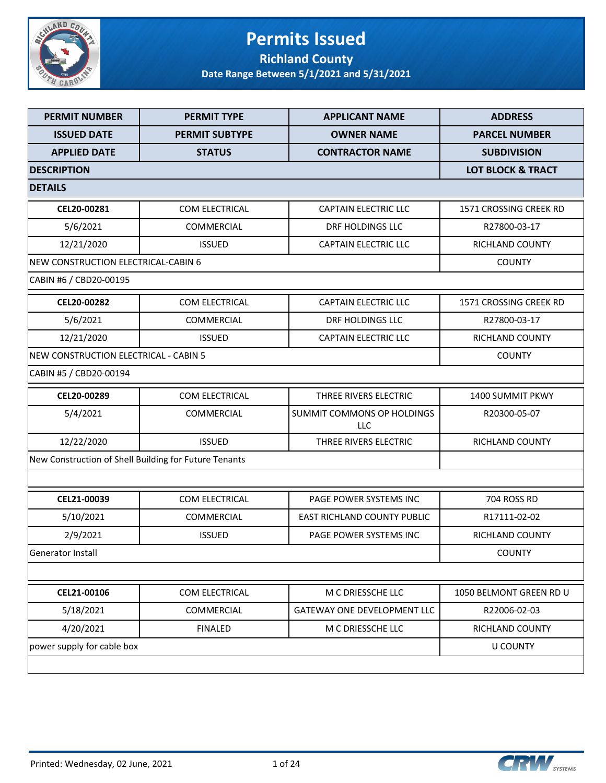

### **Permits Issued Richland County**

| <b>PERMIT NUMBER</b>                                  | <b>PERMIT TYPE</b>           | <b>APPLICANT NAME</b>                    | <b>ADDRESS</b>                |
|-------------------------------------------------------|------------------------------|------------------------------------------|-------------------------------|
| <b>ISSUED DATE</b>                                    | <b>PERMIT SUBTYPE</b>        | <b>OWNER NAME</b>                        | <b>PARCEL NUMBER</b>          |
| <b>APPLIED DATE</b>                                   | <b>STATUS</b>                | <b>CONTRACTOR NAME</b>                   | <b>SUBDIVISION</b>            |
| <b>DESCRIPTION</b>                                    | <b>LOT BLOCK &amp; TRACT</b> |                                          |                               |
| <b>DETAILS</b>                                        |                              |                                          |                               |
| CEL20-00281                                           | COM ELECTRICAL               | <b>CAPTAIN ELECTRIC LLC</b>              | 1571 CROSSING CREEK RD        |
| 5/6/2021                                              | COMMERCIAL                   | DRF HOLDINGS LLC                         | R27800-03-17                  |
| 12/21/2020                                            | <b>ISSUED</b>                | <b>CAPTAIN ELECTRIC LLC</b>              | RICHLAND COUNTY               |
| NEW CONSTRUCTION ELECTRICAL-CABIN 6                   |                              |                                          | <b>COUNTY</b>                 |
| CABIN #6 / CBD20-00195                                |                              |                                          |                               |
| CEL20-00282                                           | <b>COM ELECTRICAL</b>        | <b>CAPTAIN ELECTRIC LLC</b>              | <b>1571 CROSSING CREEK RD</b> |
| 5/6/2021                                              | <b>COMMERCIAL</b>            | DRF HOLDINGS LLC                         | R27800-03-17                  |
| 12/21/2020                                            | <b>ISSUED</b>                | <b>CAPTAIN ELECTRIC LLC</b>              | <b>RICHLAND COUNTY</b>        |
| NEW CONSTRUCTION ELECTRICAL - CABIN 5                 |                              |                                          | <b>COUNTY</b>                 |
| CABIN #5 / CBD20-00194                                |                              |                                          |                               |
| CEL20-00289                                           | COM ELECTRICAL               | THREE RIVERS ELECTRIC                    | 1400 SUMMIT PKWY              |
| 5/4/2021                                              | <b>COMMERCIAL</b>            | SUMMIT COMMONS OP HOLDINGS<br><b>LLC</b> | R20300-05-07                  |
| 12/22/2020                                            | <b>ISSUED</b>                | THREE RIVERS ELECTRIC                    | RICHLAND COUNTY               |
| New Construction of Shell Building for Future Tenants |                              |                                          |                               |
|                                                       |                              |                                          |                               |
| CEL21-00039                                           | COM ELECTRICAL               | PAGE POWER SYSTEMS INC                   | 704 ROSS RD                   |
| 5/10/2021                                             | <b>COMMERCIAL</b>            | EAST RICHLAND COUNTY PUBLIC              | R17111-02-02                  |
| 2/9/2021                                              | <b>ISSUED</b>                | PAGE POWER SYSTEMS INC                   | <b>RICHLAND COUNTY</b>        |
| Generator Install                                     |                              |                                          | <b>COUNTY</b>                 |
|                                                       |                              |                                          |                               |
| CEL21-00106                                           | COM ELECTRICAL               | M C DRIESSCHE LLC                        | 1050 BELMONT GREEN RD U       |
| 5/18/2021                                             | COMMERCIAL                   | GATEWAY ONE DEVELOPMENT LLC              | R22006-02-03                  |
| 4/20/2021                                             | <b>FINALED</b>               | M C DRIESSCHE LLC                        | RICHLAND COUNTY               |
| power supply for cable box                            |                              |                                          | <b>U COUNTY</b>               |
|                                                       |                              |                                          |                               |

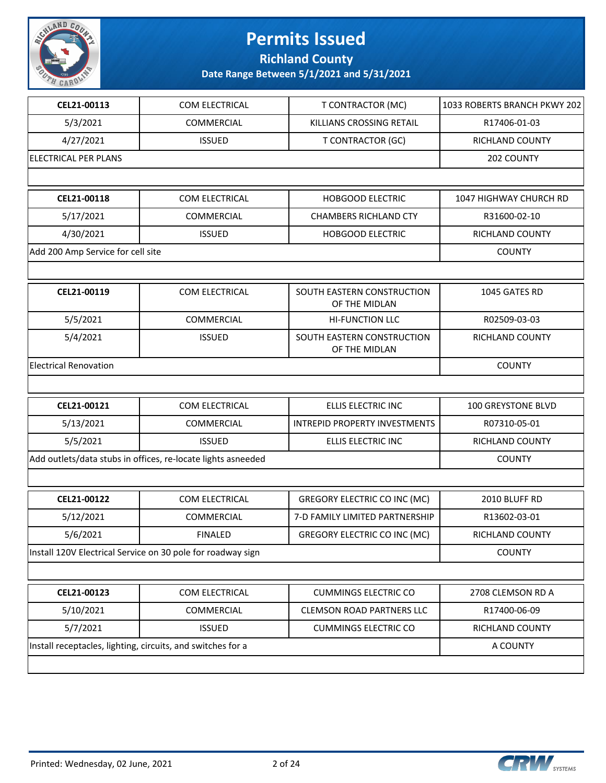

**Richland County**

| CEL21-00113                                                  | COM ELECTRICAL                                              | T CONTRACTOR (MC)                           | 1033 ROBERTS BRANCH PKWY 202 |
|--------------------------------------------------------------|-------------------------------------------------------------|---------------------------------------------|------------------------------|
| 5/3/2021                                                     | <b>COMMERCIAL</b>                                           | KILLIANS CROSSING RETAIL                    | R17406-01-03                 |
| 4/27/2021                                                    | <b>ISSUED</b>                                               | <b>T CONTRACTOR (GC)</b>                    | RICHLAND COUNTY              |
| <b>ELECTRICAL PER PLANS</b>                                  |                                                             |                                             | 202 COUNTY                   |
|                                                              |                                                             |                                             |                              |
| CEL21-00118                                                  | COM ELECTRICAL                                              | <b>HOBGOOD ELECTRIC</b>                     | 1047 HIGHWAY CHURCH RD       |
| 5/17/2021                                                    | COMMERCIAL                                                  | <b>CHAMBERS RICHLAND CTY</b>                | R31600-02-10                 |
| 4/30/2021                                                    | <b>ISSUED</b>                                               | <b>HOBGOOD ELECTRIC</b>                     | RICHLAND COUNTY              |
| Add 200 Amp Service for cell site                            |                                                             |                                             | <b>COUNTY</b>                |
|                                                              |                                                             |                                             |                              |
| CEL21-00119                                                  | COM ELECTRICAL                                              | SOUTH EASTERN CONSTRUCTION<br>OF THE MIDLAN | 1045 GATES RD                |
| 5/5/2021                                                     | COMMERCIAL                                                  | <b>HI-FUNCTION LLC</b>                      | R02509-03-03                 |
| 5/4/2021                                                     | <b>ISSUED</b>                                               | SOUTH EASTERN CONSTRUCTION<br>OF THE MIDLAN | RICHLAND COUNTY              |
| <b>Electrical Renovation</b>                                 |                                                             |                                             | <b>COUNTY</b>                |
|                                                              |                                                             |                                             |                              |
| CEL21-00121                                                  | COM ELECTRICAL                                              | ELLIS ELECTRIC INC                          | 100 GREYSTONE BLVD           |
| 5/13/2021                                                    | <b>COMMERCIAL</b>                                           | INTREPID PROPERTY INVESTMENTS               | R07310-05-01                 |
| 5/5/2021                                                     | <b>ISSUED</b>                                               | ELLIS ELECTRIC INC                          | RICHLAND COUNTY              |
| Add outlets/data stubs in offices, re-locate lights asneeded | <b>COUNTY</b>                                               |                                             |                              |
|                                                              |                                                             |                                             |                              |
| CEL21-00122                                                  | COM ELECTRICAL                                              | <b>GREGORY ELECTRIC CO INC (MC)</b>         | 2010 BLUFF RD                |
| 5/12/2021                                                    | <b>COMMERCIAL</b>                                           | 7-D FAMILY LIMITED PARTNERSHIP              | R13602-03-01                 |
| 5/6/2021                                                     | <b>FINALED</b>                                              | <b>GREGORY ELECTRIC CO INC (MC)</b>         | RICHLAND COUNTY              |
|                                                              | Install 120V Electrical Service on 30 pole for roadway sign |                                             | <b>COUNTY</b>                |
|                                                              |                                                             |                                             |                              |
| CEL21-00123                                                  | COM ELECTRICAL                                              | <b>CUMMINGS ELECTRIC CO</b>                 | 2708 CLEMSON RD A            |
| 5/10/2021                                                    | <b>COMMERCIAL</b>                                           | <b>CLEMSON ROAD PARTNERS LLC</b>            | R17400-06-09                 |
| 5/7/2021                                                     | <b>ISSUED</b>                                               | <b>CUMMINGS ELECTRIC CO</b>                 | RICHLAND COUNTY              |
| Install receptacles, lighting, circuits, and switches for a  |                                                             |                                             | A COUNTY                     |
|                                                              |                                                             |                                             |                              |

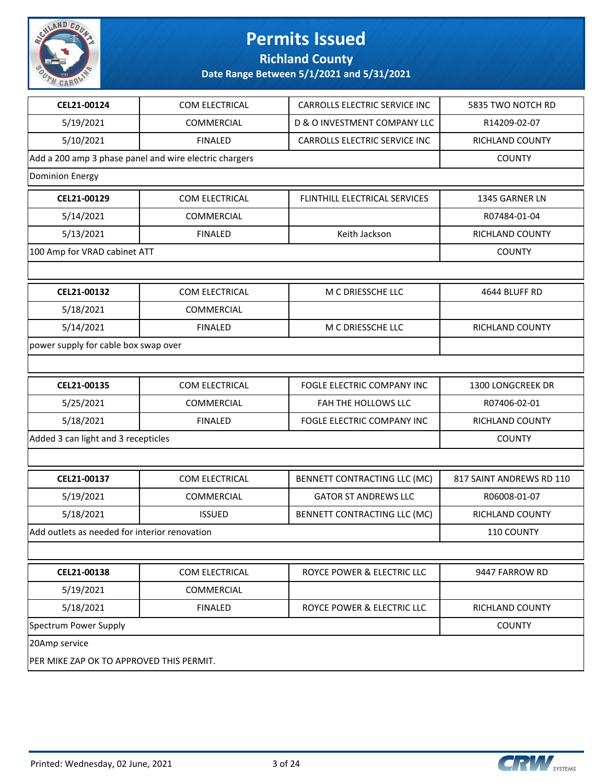

**Richland County**

| CEL21-00124                                   | COM ELECTRICAL                                         | CARROLLS ELECTRIC SERVICE INC | 5835 TWO NOTCH RD        |
|-----------------------------------------------|--------------------------------------------------------|-------------------------------|--------------------------|
| 5/19/2021                                     | <b>COMMERCIAL</b>                                      | D & O INVESTMENT COMPANY LLC  | R14209-02-07             |
| 5/10/2021                                     | <b>FINALED</b>                                         | CARROLLS ELECTRIC SERVICE INC | RICHLAND COUNTY          |
|                                               | Add a 200 amp 3 phase panel and wire electric chargers |                               | <b>COUNTY</b>            |
| <b>Dominion Energy</b>                        |                                                        |                               |                          |
| CEL21-00129                                   | COM ELECTRICAL                                         | FLINTHILL ELECTRICAL SERVICES | 1345 GARNER LN           |
| 5/14/2021                                     | COMMERCIAL                                             |                               | R07484-01-04             |
| 5/13/2021                                     | <b>FINALED</b>                                         | Keith Jackson                 | RICHLAND COUNTY          |
| 100 Amp for VRAD cabinet ATT                  |                                                        |                               | <b>COUNTY</b>            |
|                                               |                                                        |                               |                          |
| CEL21-00132                                   | COM ELECTRICAL                                         | M C DRIESSCHE LLC             | 4644 BLUFF RD            |
| 5/18/2021                                     | <b>COMMERCIAL</b>                                      |                               |                          |
| 5/14/2021                                     | <b>FINALED</b>                                         | M C DRIESSCHE LLC             | <b>RICHLAND COUNTY</b>   |
| power supply for cable box swap over          |                                                        |                               |                          |
|                                               |                                                        |                               |                          |
| CEL21-00135                                   | COM ELECTRICAL                                         | FOGLE ELECTRIC COMPANY INC    | 1300 LONGCREEK DR        |
| 5/25/2021                                     | <b>COMMERCIAL</b>                                      | FAH THE HOLLOWS LLC           | R07406-02-01             |
| 5/18/2021                                     | <b>FINALED</b>                                         | FOGLE ELECTRIC COMPANY INC    | RICHLAND COUNTY          |
| Added 3 can light and 3 recepticles           |                                                        |                               | <b>COUNTY</b>            |
|                                               |                                                        |                               |                          |
| CEL21-00137                                   | COM ELECTRICAL                                         | BENNETT CONTRACTING LLC (MC)  | 817 SAINT ANDREWS RD 110 |
| 5/19/2021                                     | COMMERCIAL                                             | <b>GATOR ST ANDREWS LLC</b>   | R06008-01-07             |
| 5/18/2021                                     | <b>ISSUED</b>                                          | BENNETT CONTRACTING LLC (MC)  | RICHLAND COUNTY          |
| Add outlets as needed for interior renovation |                                                        |                               | 110 COUNTY               |
|                                               |                                                        |                               |                          |
| CEL21-00138                                   | COM ELECTRICAL                                         | ROYCE POWER & ELECTRIC LLC    | 9447 FARROW RD           |
| 5/19/2021                                     | COMMERCIAL                                             |                               |                          |
| 5/18/2021                                     | <b>FINALED</b>                                         | ROYCE POWER & ELECTRIC LLC    | RICHLAND COUNTY          |
| Spectrum Power Supply                         | <b>COUNTY</b>                                          |                               |                          |
| 20Amp service                                 |                                                        |                               |                          |
| PER MIKE ZAP OK TO APPROVED THIS PERMIT.      |                                                        |                               |                          |

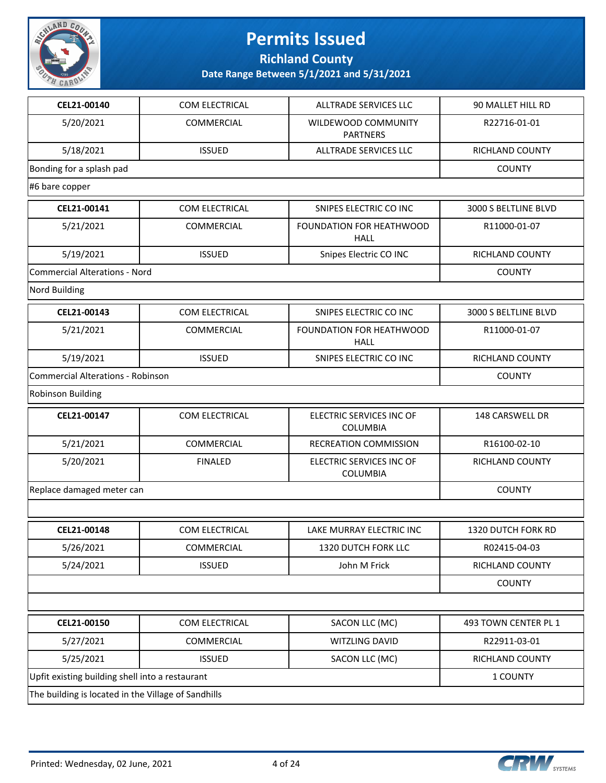

**Richland County**

| CEL21-00140                                         | COM ELECTRICAL        | ALLTRADE SERVICES LLC                          | 90 MALLET HILL RD         |
|-----------------------------------------------------|-----------------------|------------------------------------------------|---------------------------|
| 5/20/2021                                           | <b>COMMERCIAL</b>     | WILDEWOOD COMMUNITY<br><b>PARTNERS</b>         | R22716-01-01              |
| 5/18/2021                                           | <b>ISSUED</b>         | ALLTRADE SERVICES LLC                          | RICHLAND COUNTY           |
| Bonding for a splash pad                            |                       |                                                | <b>COUNTY</b>             |
| #6 bare copper                                      |                       |                                                |                           |
| CEL21-00141                                         | <b>COM ELECTRICAL</b> | SNIPES ELECTRIC CO INC                         | 3000 S BELTLINE BLVD      |
| 5/21/2021                                           | COMMERCIAL            | <b>FOUNDATION FOR HEATHWOOD</b><br><b>HALL</b> | R11000-01-07              |
| 5/19/2021                                           | <b>ISSUED</b>         | Snipes Electric CO INC                         | RICHLAND COUNTY           |
| <b>Commercial Alterations - Nord</b>                |                       |                                                | <b>COUNTY</b>             |
| Nord Building                                       |                       |                                                |                           |
| CEL21-00143                                         | <b>COM ELECTRICAL</b> | SNIPES ELECTRIC CO INC                         | 3000 S BELTLINE BLVD      |
| 5/21/2021                                           | <b>COMMERCIAL</b>     | FOUNDATION FOR HEATHWOOD<br><b>HALL</b>        | R11000-01-07              |
| 5/19/2021                                           | <b>ISSUED</b>         | SNIPES ELECTRIC CO INC                         | RICHLAND COUNTY           |
| <b>Commercial Alterations - Robinson</b>            | <b>COUNTY</b>         |                                                |                           |
| <b>Robinson Building</b>                            |                       |                                                |                           |
| CEL21-00147                                         | COM ELECTRICAL        | ELECTRIC SERVICES INC OF<br><b>COLUMBIA</b>    | 148 CARSWELL DR           |
| 5/21/2021                                           | COMMERCIAL            | RECREATION COMMISSION                          | R16100-02-10              |
| 5/20/2021                                           | <b>FINALED</b>        | ELECTRIC SERVICES INC OF<br><b>COLUMBIA</b>    | RICHLAND COUNTY           |
| Replace damaged meter can                           | <b>COUNTY</b>         |                                                |                           |
|                                                     |                       |                                                |                           |
| CEL21-00148                                         | <b>COM ELECTRICAL</b> | LAKE MURRAY ELECTRIC INC                       | <b>1320 DUTCH FORK RD</b> |
| 5/26/2021                                           | COMMERCIAL            | 1320 DUTCH FORK LLC                            | R02415-04-03              |
| 5/24/2021                                           | <b>ISSUED</b>         | John M Frick                                   | RICHLAND COUNTY           |
|                                                     |                       |                                                | <b>COUNTY</b>             |
|                                                     |                       |                                                |                           |
| CEL21-00150                                         | COM ELECTRICAL        | SACON LLC (MC)                                 | 493 TOWN CENTER PL 1      |
| 5/27/2021                                           | COMMERCIAL            | WITZLING DAVID                                 | R22911-03-01              |
| 5/25/2021                                           | <b>ISSUED</b>         | SACON LLC (MC)                                 | RICHLAND COUNTY           |
| Upfit existing building shell into a restaurant     | 1 COUNTY              |                                                |                           |
| The building is located in the Village of Sandhills |                       |                                                |                           |

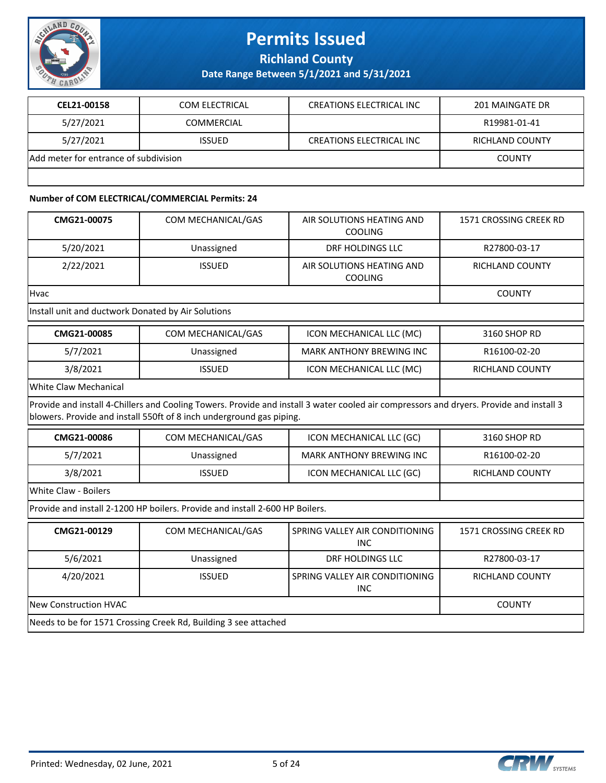

**Richland County**

**Date Range Between 5/1/2021 and 5/31/2021**

| CEL21-00158                           | <b>COM ELECTRICAL</b> | <b>CREATIONS ELECTRICAL INC</b> | 201 MAINGATE DR        |
|---------------------------------------|-----------------------|---------------------------------|------------------------|
| 5/27/2021                             | COMMERCIAL            |                                 | R19981-01-41           |
| 5/27/2021                             | <b>ISSUED</b>         | <b>CREATIONS ELECTRICAL INC</b> | <b>RICHLAND COUNTY</b> |
| Add meter for entrance of subdivision |                       |                                 | <b>COUNTY</b>          |
|                                       |                       |                                 |                        |

#### **Number of COM ELECTRICAL/COMMERCIAL Permits: 24**

| CMG21-00075                                        | COM MECHANICAL/GAS                                                           | AIR SOLUTIONS HEATING AND<br><b>COOLING</b>                                                                                             | 1571 CROSSING CREEK RD        |
|----------------------------------------------------|------------------------------------------------------------------------------|-----------------------------------------------------------------------------------------------------------------------------------------|-------------------------------|
| 5/20/2021                                          | Unassigned                                                                   | DRF HOLDINGS LLC                                                                                                                        | R27800-03-17                  |
| 2/22/2021                                          | <b>ISSUED</b>                                                                | AIR SOLUTIONS HEATING AND<br><b>COOLING</b>                                                                                             | <b>RICHLAND COUNTY</b>        |
| Hvac                                               |                                                                              |                                                                                                                                         | <b>COUNTY</b>                 |
| Install unit and ductwork Donated by Air Solutions |                                                                              |                                                                                                                                         |                               |
| CMG21-00085                                        | COM MECHANICAL/GAS                                                           | ICON MECHANICAL LLC (MC)                                                                                                                | 3160 SHOP RD                  |
| 5/7/2021                                           | Unassigned                                                                   | <b>MARK ANTHONY BREWING INC</b>                                                                                                         | R16100-02-20                  |
| 3/8/2021                                           | <b>ISSUED</b>                                                                | ICON MECHANICAL LLC (MC)                                                                                                                | RICHLAND COUNTY               |
| <b>White Claw Mechanical</b>                       |                                                                              |                                                                                                                                         |                               |
|                                                    | blowers. Provide and install 550ft of 8 inch underground gas piping.         | Provide and install 4-Chillers and Cooling Towers. Provide and install 3 water cooled air compressors and dryers. Provide and install 3 |                               |
| CMG21-00086                                        | COM MECHANICAL/GAS                                                           | ICON MECHANICAL LLC (GC)                                                                                                                | 3160 SHOP RD                  |
| 5/7/2021                                           | Unassigned                                                                   | <b>MARK ANTHONY BREWING INC</b>                                                                                                         | R16100-02-20                  |
| 3/8/2021                                           | <b>ISSUED</b>                                                                | ICON MECHANICAL LLC (GC)                                                                                                                | RICHLAND COUNTY               |
| White Claw - Boilers                               |                                                                              |                                                                                                                                         |                               |
|                                                    | Provide and install 2-1200 HP boilers. Provide and install 2-600 HP Boilers. |                                                                                                                                         |                               |
| CMG21-00129                                        | COM MECHANICAL/GAS                                                           | SPRING VALLEY AIR CONDITIONING<br><b>INC</b>                                                                                            | <b>1571 CROSSING CREEK RD</b> |
| 5/6/2021                                           | Unassigned                                                                   | DRF HOLDINGS LLC                                                                                                                        | R27800-03-17                  |
| 4/20/2021                                          | <b>ISSUED</b>                                                                | SPRING VALLEY AIR CONDITIONING<br><b>INC</b>                                                                                            | <b>RICHLAND COUNTY</b>        |
| <b>New Construction HVAC</b>                       |                                                                              |                                                                                                                                         | <b>COUNTY</b>                 |
|                                                    | Needs to be for 1571 Crossing Creek Rd, Building 3 see attached              |                                                                                                                                         |                               |

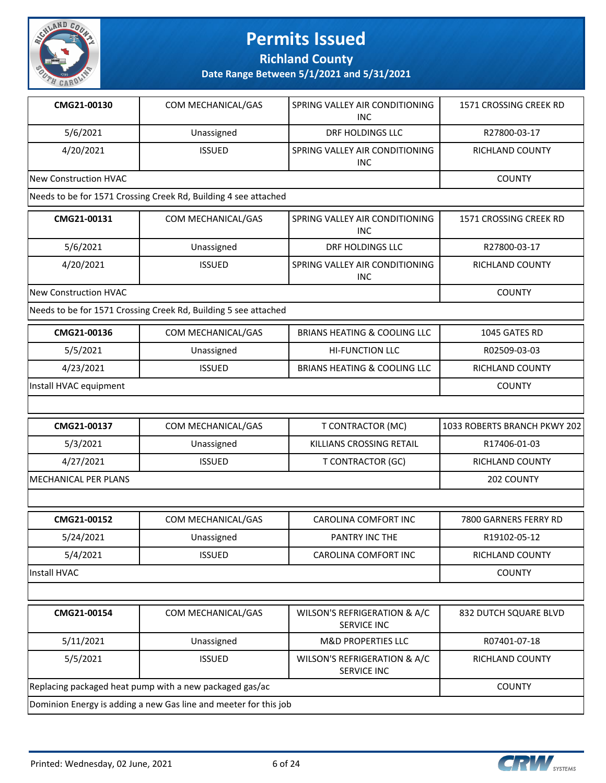

**Richland County**

**Date Range Between 5/1/2021 and 5/31/2021**

| CMG21-00130                                             | COM MECHANICAL/GAS                                              | SPRING VALLEY AIR CONDITIONING<br><b>INC</b>       | 1571 CROSSING CREEK RD       |
|---------------------------------------------------------|-----------------------------------------------------------------|----------------------------------------------------|------------------------------|
| 5/6/2021                                                | Unassigned                                                      | DRF HOLDINGS LLC                                   | R27800-03-17                 |
| 4/20/2021                                               | <b>ISSUED</b>                                                   | SPRING VALLEY AIR CONDITIONING<br>INC.             | <b>RICHLAND COUNTY</b>       |
| <b>New Construction HVAC</b>                            |                                                                 |                                                    | <b>COUNTY</b>                |
|                                                         | Needs to be for 1571 Crossing Creek Rd, Building 4 see attached |                                                    |                              |
| CMG21-00131                                             | COM MECHANICAL/GAS                                              | SPRING VALLEY AIR CONDITIONING<br><b>INC</b>       | 1571 CROSSING CREEK RD       |
| 5/6/2021                                                | Unassigned                                                      | <b>DRF HOLDINGS LLC</b>                            | R27800-03-17                 |
| 4/20/2021                                               | <b>ISSUED</b>                                                   | SPRING VALLEY AIR CONDITIONING<br><b>INC</b>       | <b>RICHLAND COUNTY</b>       |
| <b>New Construction HVAC</b>                            |                                                                 |                                                    | <b>COUNTY</b>                |
|                                                         | Needs to be for 1571 Crossing Creek Rd, Building 5 see attached |                                                    |                              |
| CMG21-00136                                             | COM MECHANICAL/GAS                                              | <b>BRIANS HEATING &amp; COOLING LLC</b>            | 1045 GATES RD                |
| 5/5/2021                                                | Unassigned                                                      | <b>HI-FUNCTION LLC</b>                             | R02509-03-03                 |
| 4/23/2021                                               | <b>ISSUED</b>                                                   | <b>BRIANS HEATING &amp; COOLING LLC</b>            | <b>RICHLAND COUNTY</b>       |
| Install HVAC equipment                                  | <b>COUNTY</b>                                                   |                                                    |                              |
|                                                         |                                                                 |                                                    |                              |
| CMG21-00137                                             | COM MECHANICAL/GAS                                              | <b>T CONTRACTOR (MC)</b>                           | 1033 ROBERTS BRANCH PKWY 202 |
| 5/3/2021                                                | Unassigned                                                      | KILLIANS CROSSING RETAIL                           | R17406-01-03                 |
| 4/27/2021                                               | <b>ISSUED</b>                                                   | <b>T CONTRACTOR (GC)</b>                           | RICHLAND COUNTY              |
| MECHANICAL PER PLANS                                    |                                                                 |                                                    | 202 COUNTY                   |
|                                                         |                                                                 |                                                    |                              |
| CMG21-00152                                             | COM MECHANICAL/GAS                                              | <b>CAROLINA COMFORT INC</b>                        | 7800 GARNERS FERRY RD        |
| 5/24/2021                                               | Unassigned                                                      | PANTRY INC THE                                     | R19102-05-12                 |
| 5/4/2021                                                | <b>ISSUED</b>                                                   | CAROLINA COMFORT INC                               | RICHLAND COUNTY              |
| Install HVAC                                            |                                                                 |                                                    | <b>COUNTY</b>                |
|                                                         |                                                                 |                                                    |                              |
| CMG21-00154                                             | COM MECHANICAL/GAS                                              | WILSON'S REFRIGERATION & A/C<br><b>SERVICE INC</b> | 832 DUTCH SQUARE BLVD        |
| 5/11/2021                                               | Unassigned                                                      | <b>M&amp;D PROPERTIES LLC</b>                      | R07401-07-18                 |
| 5/5/2021                                                | <b>ISSUED</b>                                                   | WILSON'S REFRIGERATION & A/C<br><b>SERVICE INC</b> | RICHLAND COUNTY              |
| Replacing packaged heat pump with a new packaged gas/ac | <b>COUNTY</b>                                                   |                                                    |                              |

**Dominion Energy is adding a new Gas line and meeter for this job** 

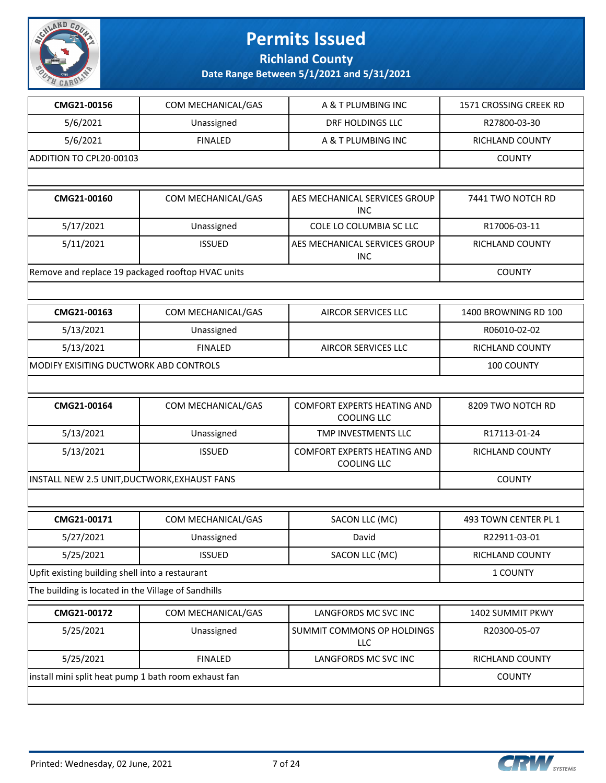

**Richland County**

| CMG21-00156                                          | COM MECHANICAL/GAS | A & T PLUMBING INC                                       | 1571 CROSSING CREEK RD |  |
|------------------------------------------------------|--------------------|----------------------------------------------------------|------------------------|--|
| 5/6/2021                                             | Unassigned         | DRF HOLDINGS LLC                                         | R27800-03-30           |  |
| 5/6/2021                                             | <b>FINALED</b>     | A & T PLUMBING INC                                       | RICHLAND COUNTY        |  |
| ADDITION TO CPL20-00103                              |                    |                                                          | <b>COUNTY</b>          |  |
|                                                      |                    |                                                          |                        |  |
| CMG21-00160                                          | COM MECHANICAL/GAS | AES MECHANICAL SERVICES GROUP<br><b>INC</b>              | 7441 TWO NOTCH RD      |  |
| 5/17/2021                                            | Unassigned         | COLE LO COLUMBIA SC LLC                                  | R17006-03-11           |  |
| 5/11/2021                                            | <b>ISSUED</b>      | AES MECHANICAL SERVICES GROUP<br><b>INC</b>              | RICHLAND COUNTY        |  |
| Remove and replace 19 packaged rooftop HVAC units    |                    |                                                          | <b>COUNTY</b>          |  |
|                                                      |                    |                                                          |                        |  |
| CMG21-00163                                          | COM MECHANICAL/GAS | AIRCOR SERVICES LLC                                      | 1400 BROWNING RD 100   |  |
| 5/13/2021                                            | Unassigned         |                                                          | R06010-02-02           |  |
| 5/13/2021                                            | <b>FINALED</b>     | AIRCOR SERVICES LLC                                      | RICHLAND COUNTY        |  |
| MODIFY EXISITING DUCTWORK ABD CONTROLS               |                    |                                                          | 100 COUNTY             |  |
|                                                      |                    |                                                          |                        |  |
| CMG21-00164                                          | COM MECHANICAL/GAS | <b>COMFORT EXPERTS HEATING AND</b><br><b>COOLING LLC</b> | 8209 TWO NOTCH RD      |  |
| 5/13/2021                                            | Unassigned         | TMP INVESTMENTS LLC                                      | R17113-01-24           |  |
| 5/13/2021                                            | <b>ISSUED</b>      | <b>COMFORT EXPERTS HEATING AND</b><br><b>COOLING LLC</b> | RICHLAND COUNTY        |  |
| INSTALL NEW 2.5 UNIT, DUCTWORK, EXHAUST FANS         | <b>COUNTY</b>      |                                                          |                        |  |
|                                                      |                    |                                                          |                        |  |
| CMG21-00171                                          | COM MECHANICAL/GAS | SACON LLC (MC)                                           | 493 TOWN CENTER PL 1   |  |
| 5/27/2021                                            | Unassigned         | David                                                    | R22911-03-01           |  |
| 5/25/2021                                            | <b>ISSUED</b>      | SACON LLC (MC)                                           | RICHLAND COUNTY        |  |
| Upfit existing building shell into a restaurant      |                    |                                                          | 1 COUNTY               |  |
| The building is located in the Village of Sandhills  |                    |                                                          |                        |  |
| CMG21-00172                                          | COM MECHANICAL/GAS | LANGFORDS MC SVC INC                                     | 1402 SUMMIT PKWY       |  |
| 5/25/2021                                            | Unassigned         | SUMMIT COMMONS OP HOLDINGS<br><b>LLC</b>                 | R20300-05-07           |  |
| 5/25/2021                                            | <b>FINALED</b>     | LANGFORDS MC SVC INC                                     | RICHLAND COUNTY        |  |
| install mini split heat pump 1 bath room exhaust fan |                    |                                                          | <b>COUNTY</b>          |  |
|                                                      |                    |                                                          |                        |  |

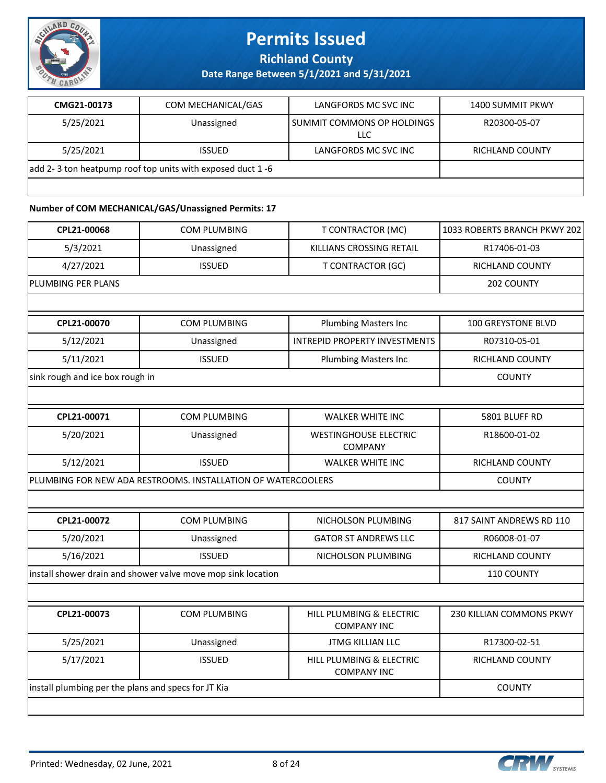

**Richland County**

**Date Range Between 5/1/2021 and 5/31/2021**

| CMG21-00173                                                   | COM MECHANICAL/GAS | LANGFORDS MC SVC INC              | 1400 SUMMIT PKWY |
|---------------------------------------------------------------|--------------------|-----------------------------------|------------------|
| 5/25/2021                                                     | Unassigned         | SUMMIT COMMONS OP HOLDINGS<br>LLC | R20300-05-07     |
| 5/25/2021                                                     | <b>ISSUED</b>      | LANGFORDS MC SVC INC              | RICHLAND COUNTY  |
| add 2-3 ton heatpump roof top units with exposed duct $1 - 6$ |                    |                                   |                  |
|                                                               |                    |                                   |                  |

#### **Number of COM MECHANICAL/GAS/Unassigned Permits: 17**

| CPL21-00068                                                  | COM PLUMBING                                                 | <b>T CONTRACTOR (MC)</b>                                  | 1033 ROBERTS BRANCH PKWY 202    |  |  |
|--------------------------------------------------------------|--------------------------------------------------------------|-----------------------------------------------------------|---------------------------------|--|--|
| 5/3/2021                                                     | Unassigned                                                   | KILLIANS CROSSING RETAIL                                  | R17406-01-03                    |  |  |
| 4/27/2021                                                    | <b>ISSUED</b>                                                | <b>T CONTRACTOR (GC)</b>                                  | <b>RICHLAND COUNTY</b>          |  |  |
| PLUMBING PER PLANS                                           |                                                              |                                                           |                                 |  |  |
|                                                              |                                                              |                                                           |                                 |  |  |
| CPL21-00070                                                  | <b>COM PLUMBING</b>                                          | <b>Plumbing Masters Inc</b>                               | <b>100 GREYSTONE BLVD</b>       |  |  |
| 5/12/2021                                                    | Unassigned                                                   | <b>INTREPID PROPERTY INVESTMENTS</b>                      | R07310-05-01                    |  |  |
| 5/11/2021                                                    | <b>ISSUED</b>                                                | <b>Plumbing Masters Inc</b>                               | <b>RICHLAND COUNTY</b>          |  |  |
| sink rough and ice box rough in                              |                                                              |                                                           | <b>COUNTY</b>                   |  |  |
|                                                              |                                                              |                                                           |                                 |  |  |
| CPL21-00071                                                  | <b>COM PLUMBING</b>                                          | <b>WALKER WHITE INC</b>                                   | 5801 BLUFF RD                   |  |  |
| 5/20/2021                                                    | Unassigned                                                   | <b>WESTINGHOUSE ELECTRIC</b><br><b>COMPANY</b>            | R18600-01-02                    |  |  |
| 5/12/2021                                                    | <b>ISSUED</b>                                                | <b>WALKER WHITE INC</b>                                   | RICHLAND COUNTY                 |  |  |
| PLUMBING FOR NEW ADA RESTROOMS. INSTALLATION OF WATERCOOLERS | <b>COUNTY</b>                                                |                                                           |                                 |  |  |
|                                                              |                                                              |                                                           |                                 |  |  |
| CPL21-00072                                                  | <b>COM PLUMBING</b>                                          | NICHOLSON PLUMBING                                        | 817 SAINT ANDREWS RD 110        |  |  |
| 5/20/2021                                                    | Unassigned                                                   | <b>GATOR ST ANDREWS LLC</b>                               | R06008-01-07                    |  |  |
| 5/16/2021                                                    | <b>ISSUED</b>                                                | NICHOLSON PLUMBING                                        | <b>RICHLAND COUNTY</b>          |  |  |
|                                                              | install shower drain and shower valve move mop sink location |                                                           | 110 COUNTY                      |  |  |
|                                                              |                                                              |                                                           |                                 |  |  |
| CPL21-00073                                                  | <b>COM PLUMBING</b>                                          | <b>HILL PLUMBING &amp; ELECTRIC</b><br><b>COMPANY INC</b> | <b>230 KILLIAN COMMONS PKWY</b> |  |  |
| 5/25/2021                                                    | Unassigned                                                   | <b>JTMG KILLIAN LLC</b>                                   | R17300-02-51                    |  |  |
| 5/17/2021                                                    | <b>ISSUED</b>                                                | HILL PLUMBING & ELECTRIC<br><b>COMPANY INC</b>            | <b>RICHLAND COUNTY</b>          |  |  |
| install plumbing per the plans and specs for JT Kia          | <b>COUNTY</b>                                                |                                                           |                                 |  |  |
|                                                              |                                                              |                                                           |                                 |  |  |

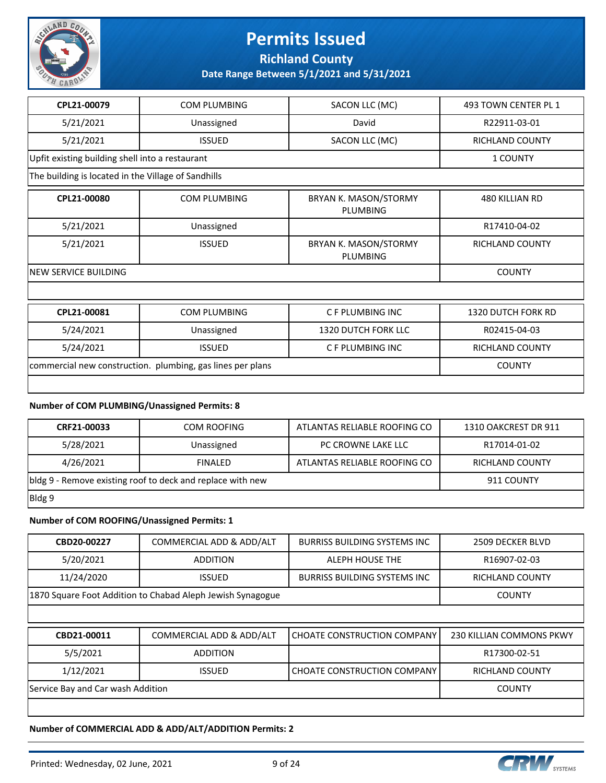

**Richland County**

**Date Range Between 5/1/2021 and 5/31/2021**

| CPL21-00079                                                | <b>COM PLUMBING</b> | SACON LLC (MC)                    | 493 TOWN CENTER PL 1      |
|------------------------------------------------------------|---------------------|-----------------------------------|---------------------------|
| 5/21/2021                                                  | Unassigned          | David                             | R22911-03-01              |
| 5/21/2021                                                  | <b>ISSUED</b>       | SACON LLC (MC)                    | <b>RICHLAND COUNTY</b>    |
| Upfit existing building shell into a restaurant            |                     |                                   | 1 COUNTY                  |
| The building is located in the Village of Sandhills        |                     |                                   |                           |
| CPL21-00080                                                | <b>COM PLUMBING</b> | BRYAN K. MASON/STORMY<br>PLUMBING | <b>480 KILLIAN RD</b>     |
| 5/21/2021                                                  | Unassigned          |                                   | R17410-04-02              |
| 5/21/2021                                                  | <b>ISSUED</b>       | BRYAN K. MASON/STORMY<br>PLUMBING | <b>RICHLAND COUNTY</b>    |
| NEW SERVICE BUILDING                                       | <b>COUNTY</b>       |                                   |                           |
|                                                            |                     |                                   |                           |
| CPL21-00081                                                | <b>COM PLUMBING</b> | C F PLUMBING INC                  | <b>1320 DUTCH FORK RD</b> |
| 5/24/2021                                                  | Unassigned          | <b>1320 DUTCH FORK LLC</b>        | R02415-04-03              |
| 5/24/2021                                                  | <b>ISSUED</b>       | C F PLUMBING INC                  | <b>RICHLAND COUNTY</b>    |
| commercial new construction. plumbing, gas lines per plans | <b>COUNTY</b>       |                                   |                           |
|                                                            |                     |                                   |                           |

#### **Number of COM PLUMBING/Unassigned Permits: 8**

| CRF21-00033                                                | <b>COM ROOFING</b> | ATLANTAS RELIABLE ROOFING CO | 1310 OAKCREST DR 911   |
|------------------------------------------------------------|--------------------|------------------------------|------------------------|
| 5/28/2021                                                  | Unassigned         | PC CROWNE LAKE LLC           | R17014-01-02           |
| 4/26/2021                                                  | <b>FINALED</b>     | ATLANTAS RELIABLE ROOFING CO | <b>RICHLAND COUNTY</b> |
| bldg 9 - Remove existing roof to deck and replace with new |                    |                              | 911 COUNTY             |
| Bldg 9                                                     |                    |                              |                        |

#### **Number of COM ROOFING/Unassigned Permits: 1**

| CBD20-00227                       | COMMERCIAL ADD & ADD/ALT                                   | <b>BURRISS BUILDING SYSTEMS INC.</b> | 2509 DECKER BLVD                |
|-----------------------------------|------------------------------------------------------------|--------------------------------------|---------------------------------|
| 5/20/2021                         | <b>ADDITION</b>                                            | ALEPH HOUSE THE                      | R16907-02-03                    |
| 11/24/2020                        | <b>ISSUED</b>                                              | <b>BURRISS BUILDING SYSTEMS INC</b>  | <b>RICHLAND COUNTY</b>          |
|                                   | 1870 Square Foot Addition to Chabad Aleph Jewish Synagogue |                                      | <b>COUNTY</b>                   |
|                                   |                                                            |                                      |                                 |
|                                   |                                                            |                                      |                                 |
| CBD21-00011                       | COMMERCIAL ADD & ADD/ALT                                   | <b>CHOATE CONSTRUCTION COMPANY</b>   | <b>230 KILLIAN COMMONS PKWY</b> |
| 5/5/2021                          | <b>ADDITION</b>                                            |                                      | R17300-02-51                    |
| 1/12/2021                         | <b>ISSUED</b>                                              | <b>CHOATE CONSTRUCTION COMPANY</b>   | <b>RICHLAND COUNTY</b>          |
| Service Bay and Car wash Addition |                                                            |                                      | <b>COUNTY</b>                   |

#### **Number of COMMERCIAL ADD & ADD/ALT/ADDITION Permits: 2**

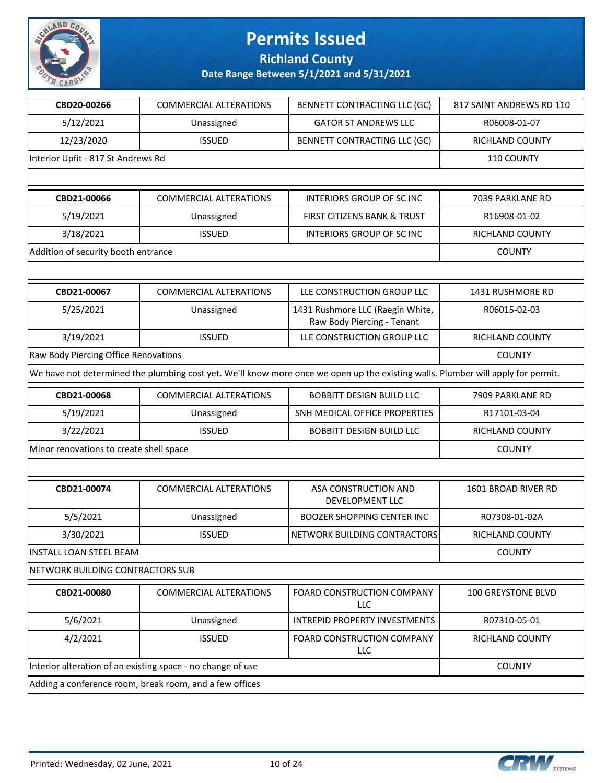

**Richland County**

| CBD20-00266                                                 | <b>COMMERCIAL ALTERATIONS</b>                           | BENNETT CONTRACTING LLC (GC)                                                                                                     | 817 SAINT ANDREWS RD 110 |
|-------------------------------------------------------------|---------------------------------------------------------|----------------------------------------------------------------------------------------------------------------------------------|--------------------------|
| 5/12/2021                                                   | Unassigned                                              | <b>GATOR ST ANDREWS LLC</b>                                                                                                      | R06008-01-07             |
| 12/23/2020                                                  | <b>ISSUED</b>                                           | BENNETT CONTRACTING LLC (GC)                                                                                                     | RICHLAND COUNTY          |
| Interior Upfit - 817 St Andrews Rd                          |                                                         |                                                                                                                                  | 110 COUNTY               |
|                                                             |                                                         |                                                                                                                                  |                          |
| CBD21-00066                                                 | <b>COMMERCIAL ALTERATIONS</b>                           | INTERIORS GROUP OF SC INC                                                                                                        | 7039 PARKLANE RD         |
| 5/19/2021                                                   | Unassigned                                              | FIRST CITIZENS BANK & TRUST                                                                                                      | R16908-01-02             |
| 3/18/2021                                                   | <b>ISSUED</b>                                           | INTERIORS GROUP OF SC INC                                                                                                        | RICHLAND COUNTY          |
| Addition of security booth entrance                         |                                                         |                                                                                                                                  | <b>COUNTY</b>            |
|                                                             |                                                         |                                                                                                                                  |                          |
| CBD21-00067                                                 | <b>COMMERCIAL ALTERATIONS</b>                           | LLE CONSTRUCTION GROUP LLC                                                                                                       | 1431 RUSHMORE RD         |
| 5/25/2021                                                   | Unassigned                                              | 1431 Rushmore LLC (Raegin White,<br>Raw Body Piercing - Tenant                                                                   | R06015-02-03             |
| 3/19/2021                                                   | <b>ISSUED</b>                                           | LLE CONSTRUCTION GROUP LLC                                                                                                       | <b>RICHLAND COUNTY</b>   |
| Raw Body Piercing Office Renovations                        |                                                         |                                                                                                                                  | <b>COUNTY</b>            |
|                                                             |                                                         | We have not determined the plumbing cost yet. We'll know more once we open up the existing walls. Plumber will apply for permit. |                          |
| CBD21-00068                                                 | <b>COMMERCIAL ALTERATIONS</b>                           | <b>BOBBITT DESIGN BUILD LLC</b>                                                                                                  | 7909 PARKLANE RD         |
| 5/19/2021                                                   | Unassigned                                              | SNH MEDICAL OFFICE PROPERTIES                                                                                                    | R17101-03-04             |
| 3/22/2021                                                   | <b>ISSUED</b>                                           | <b>BOBBITT DESIGN BUILD LLC</b>                                                                                                  | RICHLAND COUNTY          |
| Minor renovations to create shell space                     | <b>COUNTY</b>                                           |                                                                                                                                  |                          |
|                                                             |                                                         |                                                                                                                                  |                          |
| CBD21-00074                                                 | <b>COMMERCIAL ALTERATIONS</b>                           | ASA CONSTRUCTION AND<br>DEVELOPMENT LLC                                                                                          | 1601 BROAD RIVER RD      |
| 5/5/2021                                                    | Unassigned                                              | <b>BOOZER SHOPPING CENTER INC</b>                                                                                                | R07308-01-02A            |
| 3/30/2021                                                   | <b>ISSUED</b>                                           | NETWORK BUILDING CONTRACTORS                                                                                                     | RICHLAND COUNTY          |
| INSTALL LOAN STEEL BEAM                                     |                                                         |                                                                                                                                  | <b>COUNTY</b>            |
| NETWORK BUILDING CONTRACTORS SUB                            |                                                         |                                                                                                                                  |                          |
| CBD21-00080                                                 | <b>COMMERCIAL ALTERATIONS</b>                           | FOARD CONSTRUCTION COMPANY<br>LLC                                                                                                | 100 GREYSTONE BLVD       |
| 5/6/2021                                                    | Unassigned                                              | INTREPID PROPERTY INVESTMENTS                                                                                                    | R07310-05-01             |
| 4/2/2021                                                    | <b>ISSUED</b>                                           | FOARD CONSTRUCTION COMPANY<br>LLC                                                                                                | RICHLAND COUNTY          |
| Interior alteration of an existing space - no change of use | <b>COUNTY</b>                                           |                                                                                                                                  |                          |
|                                                             | Adding a conference room, break room, and a few offices |                                                                                                                                  |                          |

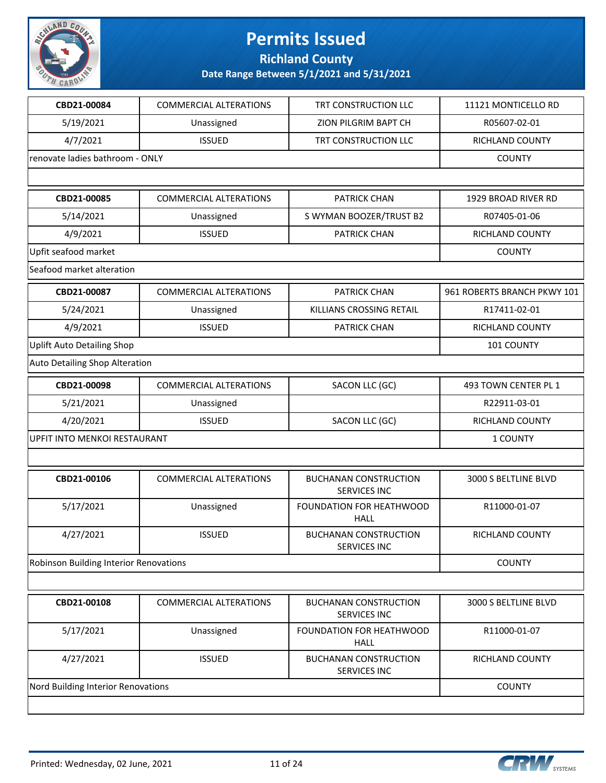

**Richland County**

| CBD21-00084                            | <b>COMMERCIAL ALTERATIONS</b> | TRT CONSTRUCTION LLC                                | 11121 MONTICELLO RD         |
|----------------------------------------|-------------------------------|-----------------------------------------------------|-----------------------------|
| 5/19/2021                              | Unassigned                    | ZION PILGRIM BAPT CH                                | R05607-02-01                |
| 4/7/2021                               | <b>ISSUED</b>                 | TRT CONSTRUCTION LLC                                | RICHLAND COUNTY             |
| renovate ladies bathroom - ONLY        |                               |                                                     | <b>COUNTY</b>               |
|                                        |                               |                                                     |                             |
| CBD21-00085                            | <b>COMMERCIAL ALTERATIONS</b> | <b>PATRICK CHAN</b>                                 | 1929 BROAD RIVER RD         |
| 5/14/2021                              | Unassigned                    | S WYMAN BOOZER/TRUST B2                             | R07405-01-06                |
| 4/9/2021                               | <b>ISSUED</b>                 | <b>PATRICK CHAN</b>                                 | RICHLAND COUNTY             |
| Upfit seafood market                   |                               |                                                     | <b>COUNTY</b>               |
| Seafood market alteration              |                               |                                                     |                             |
| CBD21-00087                            | <b>COMMERCIAL ALTERATIONS</b> | <b>PATRICK CHAN</b>                                 | 961 ROBERTS BRANCH PKWY 101 |
| 5/24/2021                              | Unassigned                    | KILLIANS CROSSING RETAIL                            | R17411-02-01                |
| 4/9/2021                               | <b>ISSUED</b>                 | <b>PATRICK CHAN</b>                                 | RICHLAND COUNTY             |
| <b>Uplift Auto Detailing Shop</b>      |                               |                                                     | 101 COUNTY                  |
| Auto Detailing Shop Alteration         |                               |                                                     |                             |
| CBD21-00098                            | <b>COMMERCIAL ALTERATIONS</b> | SACON LLC (GC)                                      | 493 TOWN CENTER PL 1        |
| 5/21/2021                              | Unassigned                    |                                                     | R22911-03-01                |
| 4/20/2021                              | <b>ISSUED</b>                 | SACON LLC (GC)                                      | RICHLAND COUNTY             |
| UPFIT INTO MENKOI RESTAURANT           |                               |                                                     | 1 COUNTY                    |
|                                        |                               |                                                     |                             |
| CBD21-00106                            | <b>COMMERCIAL ALTERATIONS</b> | <b>BUCHANAN CONSTRUCTION</b><br><b>SERVICES INC</b> | 3000 S BELTLINE BLVD        |
| 5/17/2021                              | Unassigned                    | FOUNDATION FOR HEATHWOOD<br><b>HALL</b>             | R11000-01-07                |
| 4/27/2021                              | <b>ISSUED</b>                 | BUCHANAN CONSTRUCTION<br>SERVICES INC               | RICHLAND COUNTY             |
| Robinson Building Interior Renovations |                               |                                                     | <b>COUNTY</b>               |
|                                        |                               |                                                     |                             |
| CBD21-00108                            | <b>COMMERCIAL ALTERATIONS</b> | <b>BUCHANAN CONSTRUCTION</b><br>SERVICES INC        | 3000 S BELTLINE BLVD        |
| 5/17/2021                              | Unassigned                    | FOUNDATION FOR HEATHWOOD<br><b>HALL</b>             | R11000-01-07                |
| 4/27/2021                              | <b>ISSUED</b>                 | <b>BUCHANAN CONSTRUCTION</b><br>SERVICES INC        | RICHLAND COUNTY             |
| Nord Building Interior Renovations     |                               |                                                     | <b>COUNTY</b>               |
|                                        |                               |                                                     |                             |

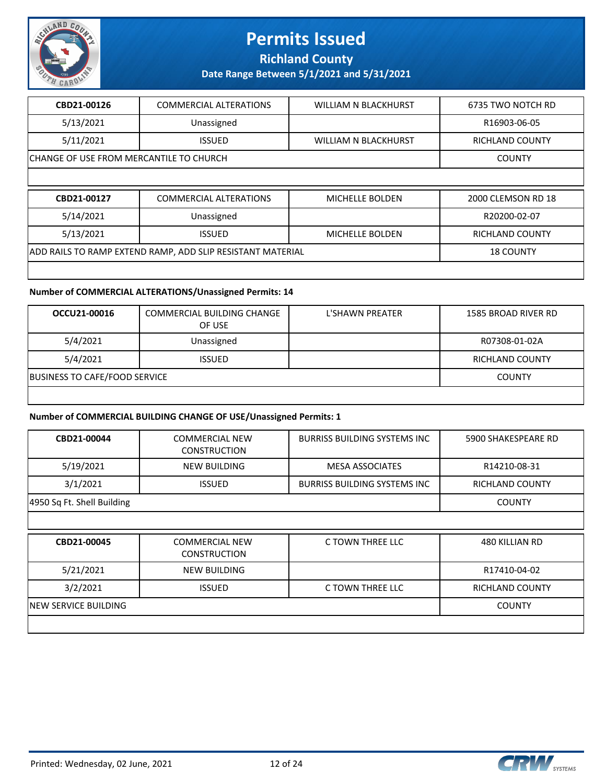

**Richland County**

**Date Range Between 5/1/2021 and 5/31/2021**

| CBD21-00126                             | <b>COMMERCIAL ALTERATIONS</b>                              | <b>WILLIAM N BLACKHURST</b> | 6735 TWO NOTCH RD      |
|-----------------------------------------|------------------------------------------------------------|-----------------------------|------------------------|
| 5/13/2021                               | Unassigned                                                 |                             | R16903-06-05           |
| 5/11/2021                               | <b>ISSUED</b>                                              | <b>WILLIAM N BLACKHURST</b> | <b>RICHLAND COUNTY</b> |
| CHANGE OF USE FROM MERCANTILE TO CHURCH |                                                            |                             | <b>COUNTY</b>          |
|                                         |                                                            |                             |                        |
|                                         |                                                            |                             |                        |
| CBD21-00127                             | <b>COMMERCIAL ALTERATIONS</b>                              | <b>MICHELLE BOLDEN</b>      | 2000 CLEMSON RD 18     |
| 5/14/2021                               | Unassigned                                                 |                             | R20200-02-07           |
| 5/13/2021                               | <b>ISSUED</b>                                              | <b>MICHELLE BOLDEN</b>      | RICHLAND COUNTY        |
|                                         | ADD RAILS TO RAMP EXTEND RAMP, ADD SLIP RESISTANT MATERIAL |                             | <b>18 COUNTY</b>       |

#### **Number of COMMERCIAL ALTERATIONS/Unassigned Permits: 14**

| OCCU21-00016                  | <b>COMMERCIAL BUILDING CHANGE</b><br>OF USE | <b>L'SHAWN PREATER</b> | 1585 BROAD RIVER RD    |
|-------------------------------|---------------------------------------------|------------------------|------------------------|
| 5/4/2021                      | Unassigned                                  |                        | R07308-01-02A          |
| 5/4/2021                      | <b>ISSUED</b>                               |                        | <b>RICHLAND COUNTY</b> |
| BUSINESS TO CAFE/FOOD SERVICE | <b>COUNTY</b>                               |                        |                        |
|                               |                                             |                        |                        |

#### **Number of COMMERCIAL BUILDING CHANGE OF USE/Unassigned Permits: 1**

| CBD21-00044                 | <b>COMMERCIAL NEW</b><br><b>CONSTRUCTION</b> | <b>BURRISS BUILDING SYSTEMS INC.</b> | 5900 SHAKESPEARE RD |
|-----------------------------|----------------------------------------------|--------------------------------------|---------------------|
| 5/19/2021                   | <b>NEW BUILDING</b>                          | <b>MESA ASSOCIATES</b>               | R14210-08-31        |
| 3/1/2021                    | <b>ISSUED</b>                                | <b>BURRISS BUILDING SYSTEMS INC</b>  | RICHLAND COUNTY     |
| 4950 Sq Ft. Shell Building  |                                              |                                      | <b>COUNTY</b>       |
|                             |                                              |                                      |                     |
| CBD21-00045                 | <b>COMMERCIAL NEW</b><br><b>CONSTRUCTION</b> | C TOWN THREE LLC                     | 480 KILLIAN RD      |
| 5/21/2021                   | <b>NEW BUILDING</b>                          |                                      | R17410-04-02        |
| 3/2/2021                    | <b>ISSUED</b>                                | C TOWN THREE LLC                     | RICHLAND COUNTY     |
| <b>NEW SERVICE BUILDING</b> | <b>COUNTY</b>                                |                                      |                     |
|                             |                                              |                                      |                     |

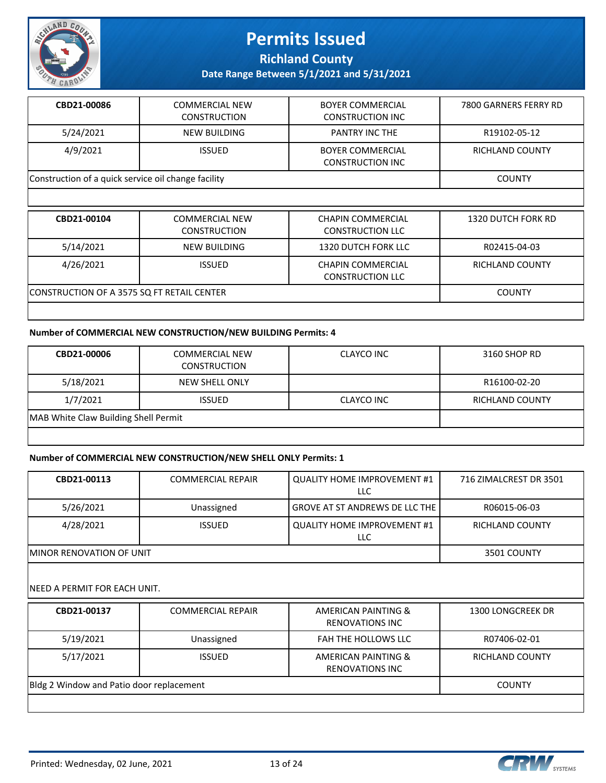

**Richland County**

**Date Range Between 5/1/2021 and 5/31/2021**

| CBD21-00086                                         | <b>COMMERCIAL NEW</b><br><b>CONSTRUCTION</b> | <b>BOYER COMMERCIAL</b><br><b>CONSTRUCTION INC</b> | 7800 GARNERS FERRY RD |
|-----------------------------------------------------|----------------------------------------------|----------------------------------------------------|-----------------------|
| 5/24/2021                                           | NEW BUILDING                                 | <b>PANTRY INC THE</b>                              | R19102-05-12          |
| 4/9/2021                                            | <b>ISSUED</b>                                | <b>BOYER COMMERCIAL</b><br><b>CONSTRUCTION INC</b> | RICHLAND COUNTY       |
| Construction of a quick service oil change facility |                                              |                                                    | <b>COUNTY</b>         |
|                                                     |                                              |                                                    |                       |

| CBD21-00104                                | <b>COMMERCIAL NEW</b><br><b>CONSTRUCTION</b> | CHAPIN COMMERCIAL<br><b>CONSTRUCTION LLC</b>        | 1320 DUTCH FORK RD |
|--------------------------------------------|----------------------------------------------|-----------------------------------------------------|--------------------|
| 5/14/2021                                  | NEW BUILDING                                 | 1320 DUTCH FORK LLC                                 | R02415-04-03       |
| 4/26/2021                                  | <b>ISSUED</b>                                | <b>CHAPIN COMMERCIAL</b><br><b>CONSTRUCTION LLC</b> | RICHLAND COUNTY    |
| CONSTRUCTION OF A 3575 SQ FT RETAIL CENTER |                                              |                                                     | <b>COUNTY</b>      |

#### **Number of COMMERCIAL NEW CONSTRUCTION/NEW BUILDING Permits: 4**

| CBD21-00006                          | COMMERCIAL NEW<br><b>CONSTRUCTION</b> | CLAYCO INC | 3160 SHOP RD           |
|--------------------------------------|---------------------------------------|------------|------------------------|
| 5/18/2021                            | NEW SHELL ONLY                        |            | R16100-02-20           |
| 1/7/2021                             | <b>ISSUED</b>                         | CLAYCO INC | <b>RICHLAND COUNTY</b> |
| MAB White Claw Building Shell Permit |                                       |            |                        |
|                                      |                                       |            |                        |

#### **Number of COMMERCIAL NEW CONSTRUCTION/NEW SHELL ONLY Permits: 1**

| CBD21-00113                      | <b>COMMERCIAL REPAIR</b> | <b>QUALITY HOME IMPROVEMENT #1</b><br>LLC | 716 ZIMALCREST DR 3501 |
|----------------------------------|--------------------------|-------------------------------------------|------------------------|
| 5/26/2021                        | Unassigned               | GROVE AT ST ANDREWS DE LLC THE            | R06015-06-03           |
| 4/28/2021                        | <b>ISSUED</b>            | QUALITY HOME IMPROVEMENT #1<br>LLC        | <b>RICHLAND COUNTY</b> |
| <b>IMINOR RENOVATION OF UNIT</b> |                          |                                           | 3501 COUNTY            |

NEED A PERMIT FOR EACH UNIT.

| CBD21-00137                              | <b>COMMERCIAL REPAIR</b> | AMERICAN PAINTING &<br><b>RENOVATIONS INC</b> | 1300 LONGCREEK DR |
|------------------------------------------|--------------------------|-----------------------------------------------|-------------------|
| 5/19/2021                                | Unassigned               | <b>FAH THE HOLLOWS LLC</b>                    | R07406-02-01      |
| 5/17/2021                                | <b>ISSUED</b>            | AMERICAN PAINTING &<br><b>RENOVATIONS INC</b> | RICHLAND COUNTY   |
| Bldg 2 Window and Patio door replacement |                          |                                               | <b>COUNTY</b>     |
|                                          |                          |                                               |                   |

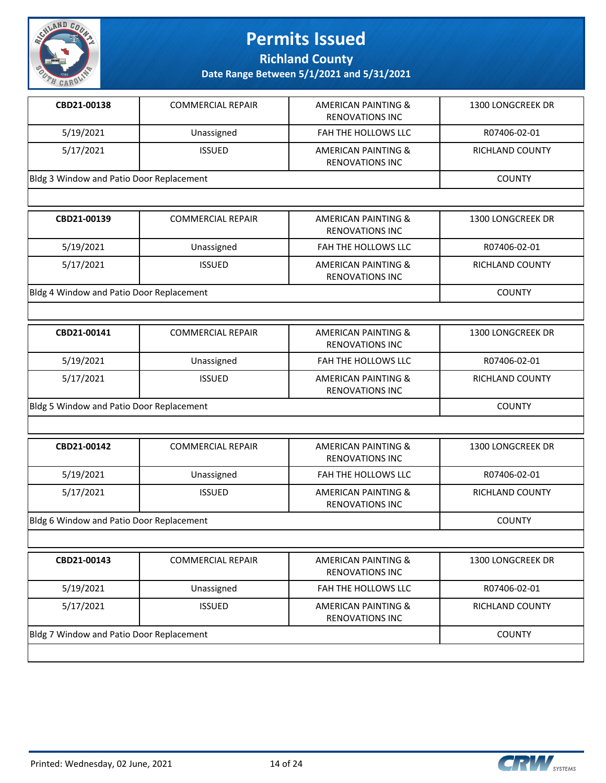

**Richland County**

| CBD21-00138                              | <b>COMMERCIAL REPAIR</b> | <b>AMERICAN PAINTING &amp;</b><br><b>RENOVATIONS INC</b> | <b>1300 LONGCREEK DR</b> |
|------------------------------------------|--------------------------|----------------------------------------------------------|--------------------------|
| 5/19/2021                                | Unassigned               | FAH THE HOLLOWS LLC                                      | R07406-02-01             |
| 5/17/2021                                | <b>ISSUED</b>            | <b>AMERICAN PAINTING &amp;</b><br><b>RENOVATIONS INC</b> | RICHLAND COUNTY          |
| Bldg 3 Window and Patio Door Replacement |                          |                                                          | <b>COUNTY</b>            |
|                                          |                          |                                                          |                          |
| CBD21-00139                              | <b>COMMERCIAL REPAIR</b> | <b>AMERICAN PAINTING &amp;</b><br><b>RENOVATIONS INC</b> | 1300 LONGCREEK DR        |
| 5/19/2021                                | Unassigned               | FAH THE HOLLOWS LLC                                      | R07406-02-01             |
| 5/17/2021                                | <b>ISSUED</b>            | <b>AMERICAN PAINTING &amp;</b><br><b>RENOVATIONS INC</b> | RICHLAND COUNTY          |
| Bldg 4 Window and Patio Door Replacement |                          |                                                          | <b>COUNTY</b>            |
|                                          |                          |                                                          |                          |
| CBD21-00141                              | <b>COMMERCIAL REPAIR</b> | <b>AMERICAN PAINTING &amp;</b><br><b>RENOVATIONS INC</b> | 1300 LONGCREEK DR        |
| 5/19/2021                                | Unassigned               | FAH THE HOLLOWS LLC                                      | R07406-02-01             |
| 5/17/2021                                | <b>ISSUED</b>            | <b>AMERICAN PAINTING &amp;</b><br><b>RENOVATIONS INC</b> | RICHLAND COUNTY          |
| Bldg 5 Window and Patio Door Replacement |                          |                                                          | <b>COUNTY</b>            |
|                                          |                          |                                                          |                          |
| CBD21-00142                              | <b>COMMERCIAL REPAIR</b> | <b>AMERICAN PAINTING &amp;</b><br><b>RENOVATIONS INC</b> | 1300 LONGCREEK DR        |
| 5/19/2021                                | Unassigned               | FAH THE HOLLOWS LLC                                      | R07406-02-01             |
| 5/17/2021                                | <b>ISSUED</b>            | <b>AMERICAN PAINTING &amp;</b><br><b>RENOVATIONS INC</b> | RICHLAND COUNTY          |
| Bldg 6 Window and Patio Door Replacement |                          |                                                          | <b>COUNTY</b>            |
|                                          |                          |                                                          |                          |
| CBD21-00143                              | <b>COMMERCIAL REPAIR</b> | <b>AMERICAN PAINTING &amp;</b><br><b>RENOVATIONS INC</b> | 1300 LONGCREEK DR        |
| 5/19/2021                                | Unassigned               | FAH THE HOLLOWS LLC                                      | R07406-02-01             |
| 5/17/2021                                | <b>ISSUED</b>            | <b>AMERICAN PAINTING &amp;</b><br><b>RENOVATIONS INC</b> | RICHLAND COUNTY          |
| Bldg 7 Window and Patio Door Replacement |                          |                                                          | <b>COUNTY</b>            |
|                                          |                          |                                                          |                          |

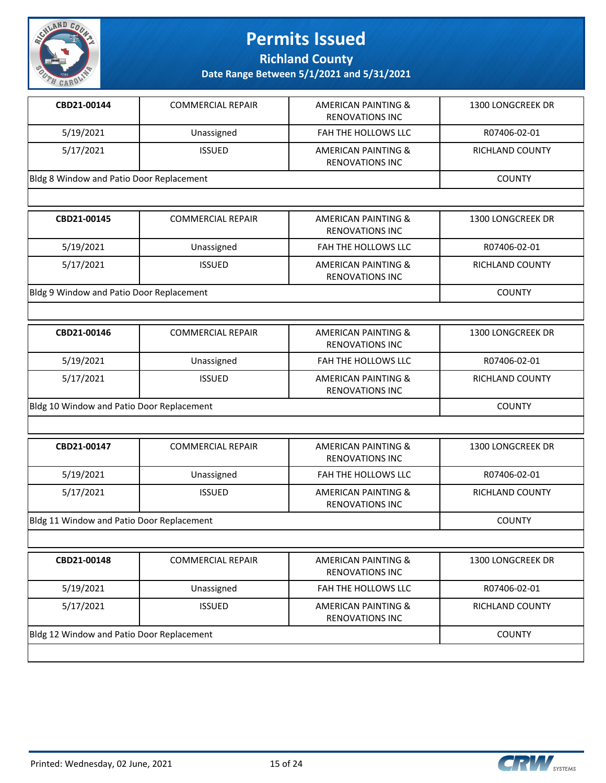

**Richland County**

| CBD21-00144                               | <b>COMMERCIAL REPAIR</b> | <b>AMERICAN PAINTING &amp;</b><br><b>RENOVATIONS INC</b> | <b>1300 LONGCREEK DR</b> |
|-------------------------------------------|--------------------------|----------------------------------------------------------|--------------------------|
| 5/19/2021                                 | Unassigned               | FAH THE HOLLOWS LLC                                      | R07406-02-01             |
| 5/17/2021                                 | <b>ISSUED</b>            | <b>AMERICAN PAINTING &amp;</b><br><b>RENOVATIONS INC</b> | <b>RICHLAND COUNTY</b>   |
| Bldg 8 Window and Patio Door Replacement  |                          |                                                          | <b>COUNTY</b>            |
|                                           |                          |                                                          |                          |
| CBD21-00145                               | <b>COMMERCIAL REPAIR</b> | <b>AMERICAN PAINTING &amp;</b><br><b>RENOVATIONS INC</b> | 1300 LONGCREEK DR        |
| 5/19/2021                                 | Unassigned               | FAH THE HOLLOWS LLC                                      | R07406-02-01             |
| 5/17/2021                                 | <b>ISSUED</b>            | <b>AMERICAN PAINTING &amp;</b><br><b>RENOVATIONS INC</b> | RICHLAND COUNTY          |
| Bldg 9 Window and Patio Door Replacement  |                          |                                                          | <b>COUNTY</b>            |
|                                           |                          |                                                          |                          |
| CBD21-00146                               | <b>COMMERCIAL REPAIR</b> | <b>AMERICAN PAINTING &amp;</b><br><b>RENOVATIONS INC</b> | 1300 LONGCREEK DR        |
| 5/19/2021                                 | Unassigned               | FAH THE HOLLOWS LLC                                      | R07406-02-01             |
| 5/17/2021                                 | <b>ISSUED</b>            | <b>AMERICAN PAINTING &amp;</b><br><b>RENOVATIONS INC</b> | RICHLAND COUNTY          |
| Bldg 10 Window and Patio Door Replacement | <b>COUNTY</b>            |                                                          |                          |
|                                           |                          |                                                          |                          |
| CBD21-00147                               | <b>COMMERCIAL REPAIR</b> | <b>AMERICAN PAINTING &amp;</b><br><b>RENOVATIONS INC</b> | 1300 LONGCREEK DR        |
| 5/19/2021                                 | Unassigned               | FAH THE HOLLOWS LLC                                      | R07406-02-01             |
| 5/17/2021                                 | <b>ISSUED</b>            | <b>AMERICAN PAINTING &amp;</b><br><b>RENOVATIONS INC</b> | RICHLAND COUNTY          |
| Bldg 11 Window and Patio Door Replacement |                          |                                                          | <b>COUNTY</b>            |
|                                           |                          |                                                          |                          |
| CBD21-00148                               | <b>COMMERCIAL REPAIR</b> | <b>AMERICAN PAINTING &amp;</b><br><b>RENOVATIONS INC</b> | 1300 LONGCREEK DR        |
| 5/19/2021                                 | Unassigned               | FAH THE HOLLOWS LLC                                      | R07406-02-01             |
| 5/17/2021                                 | <b>ISSUED</b>            | <b>AMERICAN PAINTING &amp;</b><br><b>RENOVATIONS INC</b> | RICHLAND COUNTY          |
| Bldg 12 Window and Patio Door Replacement |                          |                                                          | <b>COUNTY</b>            |
|                                           |                          |                                                          |                          |

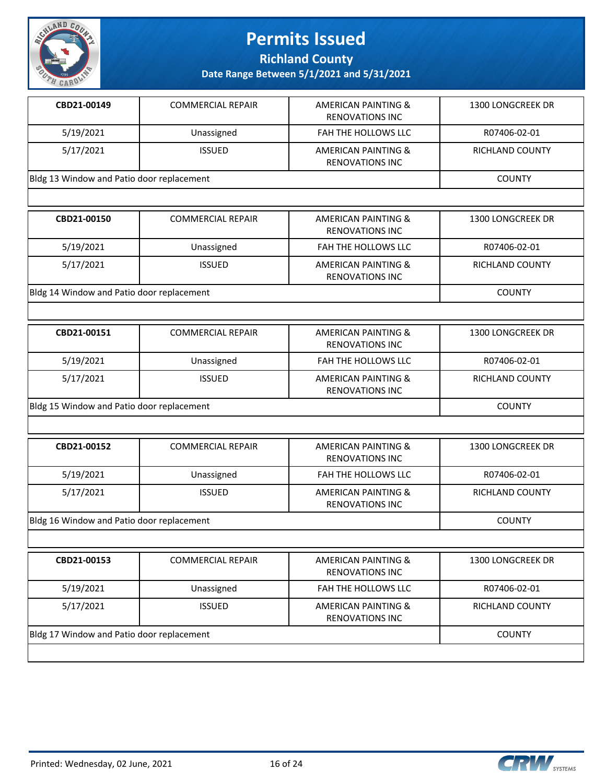

**Richland County**

| CBD21-00149                               | <b>COMMERCIAL REPAIR</b> | <b>AMERICAN PAINTING &amp;</b><br><b>RENOVATIONS INC</b> | 1300 LONGCREEK DR        |
|-------------------------------------------|--------------------------|----------------------------------------------------------|--------------------------|
| 5/19/2021                                 | Unassigned               | FAH THE HOLLOWS LLC                                      | R07406-02-01             |
| 5/17/2021                                 | <b>ISSUED</b>            | <b>AMERICAN PAINTING &amp;</b><br><b>RENOVATIONS INC</b> | <b>RICHLAND COUNTY</b>   |
| Bldg 13 Window and Patio door replacement |                          |                                                          | <b>COUNTY</b>            |
|                                           |                          |                                                          |                          |
| CBD21-00150                               | <b>COMMERCIAL REPAIR</b> | <b>AMERICAN PAINTING &amp;</b><br><b>RENOVATIONS INC</b> | <b>1300 LONGCREEK DR</b> |
| 5/19/2021                                 | Unassigned               | FAH THE HOLLOWS LLC                                      | R07406-02-01             |
| 5/17/2021                                 | <b>ISSUED</b>            | <b>AMERICAN PAINTING &amp;</b><br><b>RENOVATIONS INC</b> | RICHLAND COUNTY          |
| Bldg 14 Window and Patio door replacement |                          |                                                          | <b>COUNTY</b>            |
|                                           |                          |                                                          |                          |
| CBD21-00151                               | <b>COMMERCIAL REPAIR</b> | <b>AMERICAN PAINTING &amp;</b><br><b>RENOVATIONS INC</b> | 1300 LONGCREEK DR        |
| 5/19/2021                                 | Unassigned               | FAH THE HOLLOWS LLC                                      | R07406-02-01             |
| 5/17/2021                                 | <b>ISSUED</b>            | <b>AMERICAN PAINTING &amp;</b><br><b>RENOVATIONS INC</b> | RICHLAND COUNTY          |
| Bldg 15 Window and Patio door replacement |                          |                                                          | <b>COUNTY</b>            |
|                                           |                          |                                                          |                          |
| CBD21-00152                               | <b>COMMERCIAL REPAIR</b> | <b>AMERICAN PAINTING &amp;</b><br><b>RENOVATIONS INC</b> | 1300 LONGCREEK DR        |
| 5/19/2021                                 | Unassigned               | FAH THE HOLLOWS LLC                                      | R07406-02-01             |
| 5/17/2021                                 | <b>ISSUED</b>            | <b>AMERICAN PAINTING &amp;</b><br><b>RENOVATIONS INC</b> | RICHLAND COUNTY          |
| Bldg 16 Window and Patio door replacement |                          |                                                          | <b>COUNTY</b>            |
|                                           |                          |                                                          |                          |
| CBD21-00153                               | <b>COMMERCIAL REPAIR</b> | <b>AMERICAN PAINTING &amp;</b><br><b>RENOVATIONS INC</b> | 1300 LONGCREEK DR        |
| 5/19/2021                                 | Unassigned               | FAH THE HOLLOWS LLC                                      | R07406-02-01             |
| 5/17/2021                                 | <b>ISSUED</b>            | <b>AMERICAN PAINTING &amp;</b><br><b>RENOVATIONS INC</b> | RICHLAND COUNTY          |
| Bldg 17 Window and Patio door replacement | <b>COUNTY</b>            |                                                          |                          |

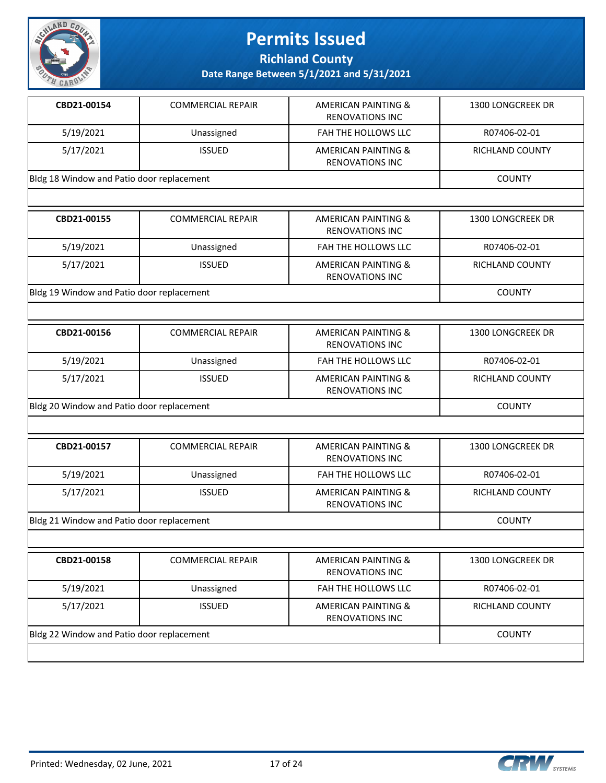

**Richland County**

| CBD21-00154                               | <b>COMMERCIAL REPAIR</b> | <b>AMERICAN PAINTING &amp;</b><br><b>RENOVATIONS INC</b> | 1300 LONGCREEK DR |
|-------------------------------------------|--------------------------|----------------------------------------------------------|-------------------|
| 5/19/2021                                 | Unassigned               | FAH THE HOLLOWS LLC                                      | R07406-02-01      |
| 5/17/2021                                 | <b>ISSUED</b>            | <b>AMERICAN PAINTING &amp;</b><br><b>RENOVATIONS INC</b> | RICHLAND COUNTY   |
| Bldg 18 Window and Patio door replacement |                          |                                                          | <b>COUNTY</b>     |
|                                           |                          |                                                          |                   |
| CBD21-00155                               | <b>COMMERCIAL REPAIR</b> | <b>AMERICAN PAINTING &amp;</b><br><b>RENOVATIONS INC</b> | 1300 LONGCREEK DR |
| 5/19/2021                                 | Unassigned               | FAH THE HOLLOWS LLC                                      | R07406-02-01      |
| 5/17/2021                                 | <b>ISSUED</b>            | <b>AMERICAN PAINTING &amp;</b><br><b>RENOVATIONS INC</b> | RICHLAND COUNTY   |
| Bldg 19 Window and Patio door replacement |                          |                                                          | <b>COUNTY</b>     |
|                                           |                          |                                                          |                   |
| CBD21-00156                               | <b>COMMERCIAL REPAIR</b> | <b>AMERICAN PAINTING &amp;</b><br><b>RENOVATIONS INC</b> | 1300 LONGCREEK DR |
| 5/19/2021                                 | Unassigned               | FAH THE HOLLOWS LLC                                      | R07406-02-01      |
| 5/17/2021                                 | <b>ISSUED</b>            | <b>AMERICAN PAINTING &amp;</b><br><b>RENOVATIONS INC</b> | RICHLAND COUNTY   |
| Bldg 20 Window and Patio door replacement | <b>COUNTY</b>            |                                                          |                   |
|                                           |                          |                                                          |                   |
| CBD21-00157                               | <b>COMMERCIAL REPAIR</b> | <b>AMERICAN PAINTING &amp;</b><br><b>RENOVATIONS INC</b> | 1300 LONGCREEK DR |
| 5/19/2021                                 | Unassigned               | FAH THE HOLLOWS LLC                                      | R07406-02-01      |
| 5/17/2021                                 | <b>ISSUED</b>            | <b>AMERICAN PAINTING &amp;</b><br><b>RENOVATIONS INC</b> | RICHLAND COUNTY   |
| Bldg 21 Window and Patio door replacement |                          |                                                          | <b>COUNTY</b>     |
|                                           |                          |                                                          |                   |
| CBD21-00158                               | <b>COMMERCIAL REPAIR</b> | <b>AMERICAN PAINTING &amp;</b><br><b>RENOVATIONS INC</b> | 1300 LONGCREEK DR |
| 5/19/2021                                 | Unassigned               | FAH THE HOLLOWS LLC                                      | R07406-02-01      |
| 5/17/2021                                 | <b>ISSUED</b>            | <b>AMERICAN PAINTING &amp;</b><br><b>RENOVATIONS INC</b> | RICHLAND COUNTY   |
| Bldg 22 Window and Patio door replacement | <b>COUNTY</b>            |                                                          |                   |
|                                           |                          |                                                          |                   |

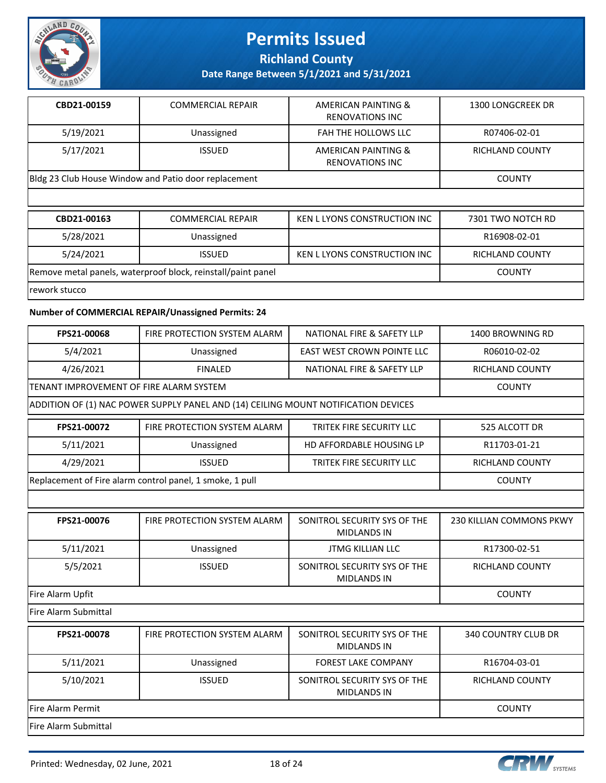

**Richland County**

**Date Range Between 5/1/2021 and 5/31/2021**

| CBD21-00159                                          | <b>COMMERCIAL REPAIR</b> | AMERICAN PAINTING &<br><b>RENOVATIONS INC</b> | <b>1300 LONGCREEK DR</b> |
|------------------------------------------------------|--------------------------|-----------------------------------------------|--------------------------|
| 5/19/2021                                            | Unassigned               | FAH THE HOLLOWS LLC                           | R07406-02-01             |
| 5/17/2021                                            | <b>ISSUED</b>            | AMERICAN PAINTING &<br><b>RENOVATIONS INC</b> | RICHLAND COUNTY          |
| Bldg 23 Club House Window and Patio door replacement |                          |                                               | <b>COUNTY</b>            |

| CBD21-00163                                                  | <b>COMMERCIAL REPAIR</b> | KEN L LYONS CONSTRUCTION INC | 7301 TWO NOTCH RD |
|--------------------------------------------------------------|--------------------------|------------------------------|-------------------|
| 5/28/2021                                                    | Unassigned               |                              | R16908-02-01      |
| 5/24/2021                                                    | <b>ISSUED</b>            | KEN L LYONS CONSTRUCTION INC | RICHLAND COUNTY   |
| Remove metal panels, waterproof block, reinstall/paint panel |                          |                              | <b>COUNTY</b>     |
| Irework stucco                                               |                          |                              |                   |

#### **Number of COMMERCIAL REPAIR/Unassigned Permits: 24**

| FPS21-00068                             | FIRE PROTECTION SYSTEM ALARM                                                       | NATIONAL FIRE & SAFETY LLP                         | 1400 BROWNING RD           |
|-----------------------------------------|------------------------------------------------------------------------------------|----------------------------------------------------|----------------------------|
| 5/4/2021                                | Unassigned                                                                         | <b>EAST WEST CROWN POINTE LLC</b>                  | R06010-02-02               |
| 4/26/2021                               | <b>FINALED</b>                                                                     | NATIONAL FIRE & SAFETY LLP                         | RICHLAND COUNTY            |
| TENANT IMPROVEMENT OF FIRE ALARM SYSTEM |                                                                                    |                                                    | <b>COUNTY</b>              |
|                                         | ADDITION OF (1) NAC POWER SUPPLY PANEL AND (14) CEILING MOUNT NOTIFICATION DEVICES |                                                    |                            |
| FPS21-00072                             | FIRE PROTECTION SYSTEM ALARM                                                       | TRITEK FIRE SECURITY LLC                           | 525 ALCOTT DR              |
| 5/11/2021                               | Unassigned                                                                         | HD AFFORDABLE HOUSING LP                           | R11703-01-21               |
| 4/29/2021                               | <b>ISSUED</b>                                                                      | TRITEK FIRE SECURITY LLC                           | RICHLAND COUNTY            |
|                                         | Replacement of Fire alarm control panel, 1 smoke, 1 pull                           |                                                    | <b>COUNTY</b>              |
|                                         |                                                                                    |                                                    |                            |
| FPS21-00076                             | FIRE PROTECTION SYSTEM ALARM                                                       | SONITROL SECURITY SYS OF THE<br><b>MIDLANDS IN</b> | 230 KILLIAN COMMONS PKWY   |
| 5/11/2021                               | Unassigned                                                                         | <b>JTMG KILLIAN LLC</b>                            | R17300-02-51               |
| 5/5/2021                                | <b>ISSUED</b>                                                                      | SONITROL SECURITY SYS OF THE<br><b>MIDLANDS IN</b> | <b>RICHLAND COUNTY</b>     |
| Fire Alarm Upfit                        | <b>COUNTY</b>                                                                      |                                                    |                            |
| Fire Alarm Submittal                    |                                                                                    |                                                    |                            |
| FPS21-00078                             | FIRE PROTECTION SYSTEM ALARM                                                       | SONITROL SECURITY SYS OF THE<br><b>MIDLANDS IN</b> | <b>340 COUNTRY CLUB DR</b> |
| 5/11/2021                               | Unassigned                                                                         | <b>FOREST LAKE COMPANY</b>                         | R16704-03-01               |
| 5/10/2021                               | <b>ISSUED</b>                                                                      | SONITROL SECURITY SYS OF THE<br><b>MIDLANDS IN</b> | RICHLAND COUNTY            |
| Fire Alarm Permit                       |                                                                                    |                                                    | <b>COUNTY</b>              |
| Fire Alarm Submittal                    |                                                                                    |                                                    |                            |

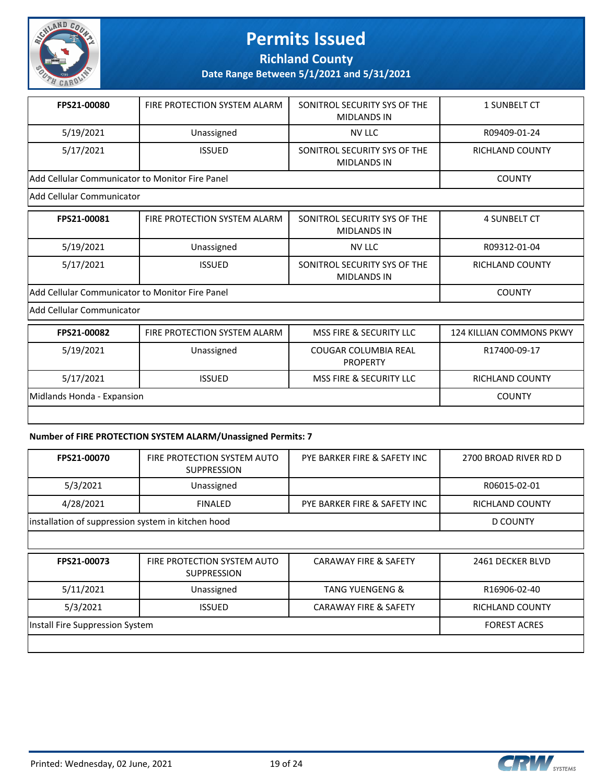

**Richland County**

**Date Range Between 5/1/2021 and 5/31/2021**

| FPS21-00080                                     | FIRE PROTECTION SYSTEM ALARM | SONITROL SECURITY SYS OF THE<br><b>MIDLANDS IN</b> | 1 SUNBELT CT           |
|-------------------------------------------------|------------------------------|----------------------------------------------------|------------------------|
| 5/19/2021                                       | Unassigned                   | NV LLC                                             | R09409-01-24           |
| 5/17/2021                                       | <b>ISSUED</b>                | SONITROL SECURITY SYS OF THE<br><b>MIDLANDS IN</b> | <b>RICHLAND COUNTY</b> |
| Add Cellular Communicator to Monitor Fire Panel |                              |                                                    | <b>COUNTY</b>          |

Add Cellular Communicator

| FPS21-00081                                     | FIRE PROTECTION SYSTEM ALARM | SONITROL SECURITY SYS OF THE<br>MIDLANDS IN | 4 SUNBELT CT    |
|-------------------------------------------------|------------------------------|---------------------------------------------|-----------------|
| 5/19/2021                                       | Unassigned                   | NV LLC                                      | R09312-01-04    |
| 5/17/2021                                       | <b>ISSUED</b>                | SONITROL SECURITY SYS OF THE<br>MIDLANDS IN | RICHLAND COUNTY |
| Add Cellular Communicator to Monitor Fire Panel |                              |                                             | <b>COUNTY</b>   |

Add Cellular Communicator

| <b>FPS21-00082</b>         | FIRE PROTECTION SYSTEM ALARM | MSS FIRE & SECURITY LLC                 | 124 KILLIAN COMMONS PKWY |
|----------------------------|------------------------------|-----------------------------------------|--------------------------|
| 5/19/2021                  | Unassigned                   | COUGAR COLUMBIA REAL<br><b>PROPERTY</b> | R17400-09-17             |
| 5/17/2021                  | <b>ISSUED</b>                | MSS FIRE & SECURITY LLC                 | <b>RICHLAND COUNTY</b>   |
| Midlands Honda - Expansion |                              |                                         | <b>COUNTY</b>            |
|                            |                              |                                         |                          |

#### **Number of FIRE PROTECTION SYSTEM ALARM/Unassigned Permits: 7**

| FPS21-00070                                        | FIRE PROTECTION SYSTEM AUTO<br><b>SUPPRESSION</b> | PYE BARKER FIRE & SAFETY INC | 2700 BROAD RIVER RD D |
|----------------------------------------------------|---------------------------------------------------|------------------------------|-----------------------|
| 5/3/2021                                           | Unassigned                                        |                              | R06015-02-01          |
| 4/28/2021                                          | FINAL FD                                          | PYE BARKER FIRE & SAFETY INC | RICHLAND COUNTY       |
| installation of suppression system in kitchen hood |                                                   |                              | D COUNTY              |

| FPS21-00073                     | FIRE PROTECTION SYSTEM AUTO<br><b>SUPPRESSION</b> | <b>CARAWAY FIRE &amp; SAFETY</b> | 2461 DECKER BLVD       |
|---------------------------------|---------------------------------------------------|----------------------------------|------------------------|
| 5/11/2021                       | Unassigned                                        | <b>TANG YUENGENG &amp;</b>       | R16906-02-40           |
| 5/3/2021                        | <b>ISSUED</b>                                     | <b>CARAWAY FIRE &amp; SAFETY</b> | <b>RICHLAND COUNTY</b> |
| Install Fire Suppression System |                                                   |                                  | <b>FOREST ACRES</b>    |
|                                 |                                                   |                                  |                        |

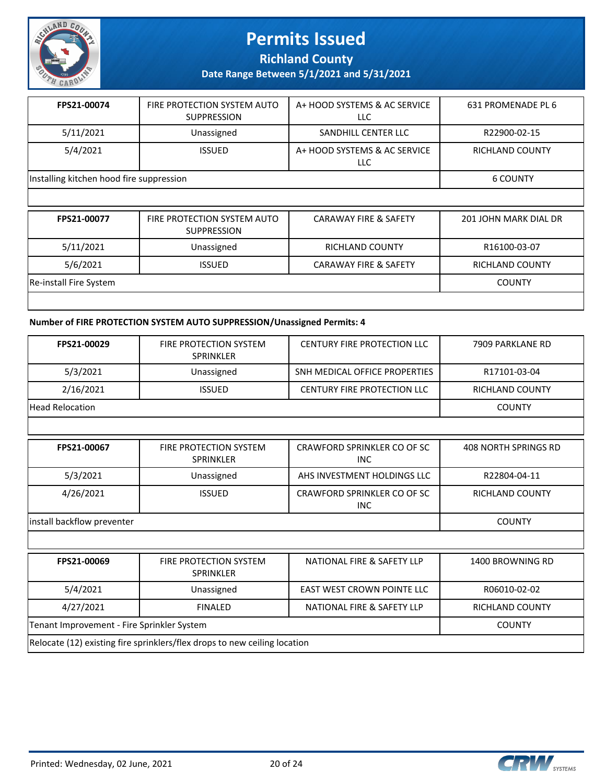

**Richland County**

**Date Range Between 5/1/2021 and 5/31/2021**

| FPS21-00074                              | FIRE PROTECTION SYSTEM AUTO<br><b>SUPPRESSION</b> | A+ HOOD SYSTEMS & AC SERVICE<br>LLC | 631 PROMENADE PL 6 |  |
|------------------------------------------|---------------------------------------------------|-------------------------------------|--------------------|--|
| 5/11/2021                                | Unassigned                                        | SANDHILL CENTER LLC                 | R22900-02-15       |  |
| 5/4/2021                                 | <b>ISSUED</b>                                     | A+ HOOD SYSTEMS & AC SERVICE<br>LLC | RICHLAND COUNTY    |  |
| Installing kitchen hood fire suppression |                                                   |                                     | 6 COUNTY           |  |
|                                          |                                                   |                                     |                    |  |

| FPS21-00077            | FIRE PROTECTION SYSTEM AUTO<br><b>SUPPRESSION</b> | <b>CARAWAY FIRE &amp; SAFETY</b> | 201 JOHN MARK DIAL DR  |
|------------------------|---------------------------------------------------|----------------------------------|------------------------|
| 5/11/2021              | Unassigned                                        | <b>RICHLAND COUNTY</b>           | R16100-03-07           |
| 5/6/2021               | <b>ISSUED</b>                                     | <b>CARAWAY FIRE &amp; SAFETY</b> | <b>RICHLAND COUNTY</b> |
| Re-install Fire System |                                                   |                                  | <b>COUNTY</b>          |
|                        |                                                   |                                  |                        |

#### **Number of FIRE PROTECTION SYSTEM AUTO SUPPRESSION/Unassigned Permits: 4**

| FPS21-00029                                | <b>FIRE PROTECTION SYSTEM</b><br><b>SPRINKLER</b>                         | CENTURY FIRE PROTECTION LLC               | 7909 PARKLANE RD            |
|--------------------------------------------|---------------------------------------------------------------------------|-------------------------------------------|-----------------------------|
| 5/3/2021                                   | Unassigned                                                                | SNH MEDICAL OFFICE PROPERTIES             | R17101-03-04                |
| 2/16/2021                                  | <b>ISSUED</b>                                                             | <b>CENTURY FIRE PROTECTION LLC</b>        | <b>RICHLAND COUNTY</b>      |
| <b>Head Relocation</b>                     |                                                                           |                                           | <b>COUNTY</b>               |
|                                            |                                                                           |                                           |                             |
| FPS21-00067                                | <b>FIRE PROTECTION SYSTEM</b><br><b>SPRINKLER</b>                         | CRAWFORD SPRINKLER CO OF SC<br>INC.       | <b>408 NORTH SPRINGS RD</b> |
| 5/3/2021                                   | Unassigned                                                                | AHS INVESTMENT HOLDINGS LLC               | R22804-04-11                |
| 4/26/2021                                  | <b>ISSUED</b>                                                             | CRAWFORD SPRINKLER CO OF SC<br><b>INC</b> | <b>RICHLAND COUNTY</b>      |
| install backflow preventer                 | <b>COUNTY</b>                                                             |                                           |                             |
|                                            |                                                                           |                                           |                             |
| FPS21-00069                                | <b>FIRE PROTECTION SYSTEM</b><br><b>SPRINKLER</b>                         | <b>NATIONAL FIRE &amp; SAFETY LLP</b>     | 1400 BROWNING RD            |
| 5/4/2021                                   | Unassigned                                                                | <b>EAST WEST CROWN POINTE LLC</b>         | R06010-02-02                |
| 4/27/2021                                  | <b>FINALED</b>                                                            | NATIONAL FIRE & SAFETY LLP                | <b>RICHLAND COUNTY</b>      |
| Tenant Improvement - Fire Sprinkler System |                                                                           |                                           | <b>COUNTY</b>               |
|                                            | Relocate (12) existing fire sprinklers/flex drops to new ceiling location |                                           |                             |

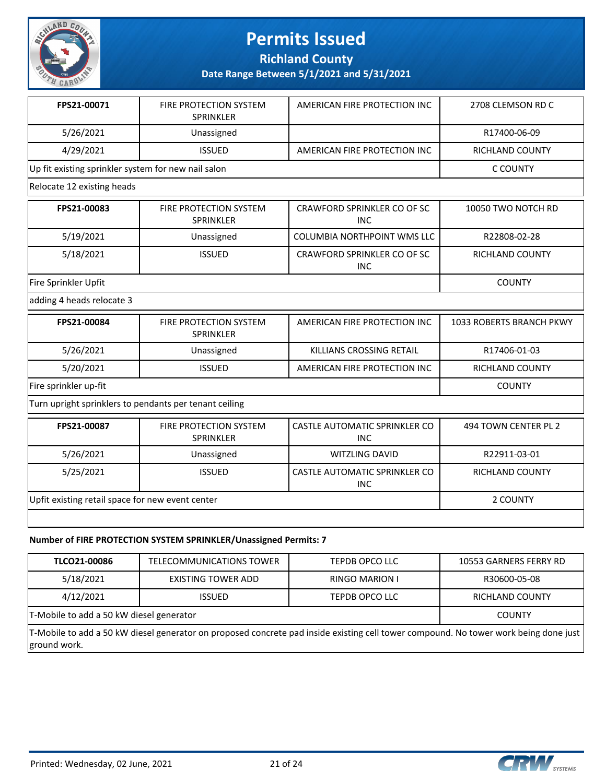

**Richland County**

**Date Range Between 5/1/2021 and 5/31/2021**

| FPS21-00071                                            | FIRE PROTECTION SYSTEM<br><b>SPRINKLER</b>        | AMERICAN FIRE PROTECTION INC                | 2708 CLEMSON RD C        |
|--------------------------------------------------------|---------------------------------------------------|---------------------------------------------|--------------------------|
| 5/26/2021                                              | Unassigned                                        |                                             | R17400-06-09             |
| 4/29/2021                                              | <b>ISSUED</b>                                     | AMERICAN FIRE PROTECTION INC                | <b>RICHLAND COUNTY</b>   |
| Up fit existing sprinkler system for new nail salon    |                                                   |                                             | <b>C COUNTY</b>          |
| Relocate 12 existing heads                             |                                                   |                                             |                          |
| FPS21-00083                                            | <b>FIRE PROTECTION SYSTEM</b><br><b>SPRINKLER</b> | CRAWFORD SPRINKLER CO OF SC<br><b>INC</b>   | 10050 TWO NOTCH RD       |
| 5/19/2021                                              | Unassigned                                        | COLUMBIA NORTHPOINT WMS LLC                 | R22808-02-28             |
| 5/18/2021                                              | <b>ISSUED</b>                                     | CRAWFORD SPRINKLER CO OF SC<br><b>INC</b>   | <b>RICHLAND COUNTY</b>   |
| Fire Sprinkler Upfit                                   |                                                   |                                             | <b>COUNTY</b>            |
| adding 4 heads relocate 3                              |                                                   |                                             |                          |
|                                                        |                                                   |                                             |                          |
| FPS21-00084                                            | FIRE PROTECTION SYSTEM<br>SPRINKLER               | AMERICAN FIRE PROTECTION INC                | 1033 ROBERTS BRANCH PKWY |
| 5/26/2021                                              | Unassigned                                        | KILLIANS CROSSING RETAIL                    | R17406-01-03             |
| 5/20/2021                                              | <b>ISSUED</b>                                     | AMERICAN FIRE PROTECTION INC                | RICHLAND COUNTY          |
| Fire sprinkler up-fit                                  |                                                   |                                             | <b>COUNTY</b>            |
| Turn upright sprinklers to pendants per tenant ceiling |                                                   |                                             |                          |
| FPS21-00087                                            | FIRE PROTECTION SYSTEM<br>SPRINKLER               | CASTLE AUTOMATIC SPRINKLER CO<br><b>INC</b> | 494 TOWN CENTER PL 2     |
| 5/26/2021                                              | Unassigned                                        | WITZLING DAVID                              | R22911-03-01             |
| 5/25/2021                                              | <b>ISSUED</b>                                     | CASTLE AUTOMATIC SPRINKLER CO<br><b>INC</b> | RICHLAND COUNTY          |
| Upfit existing retail space for new event center       |                                                   |                                             | 2 COUNTY                 |

#### **Number of FIRE PROTECTION SYSTEM SPRINKLER/Unassigned Permits: 7**

| TLCO21-00086                                                                                                                                         | TELECOMMUNICATIONS TOWER | TEPDB OPCO LLC        | 10553 GARNERS FERRY RD |
|------------------------------------------------------------------------------------------------------------------------------------------------------|--------------------------|-----------------------|------------------------|
| 5/18/2021                                                                                                                                            | EXISTING TOWER ADD       | <b>RINGO MARION I</b> | R30600-05-08           |
| 4/12/2021                                                                                                                                            | <b>ISSUED</b>            | <b>TEPDB OPCO LLC</b> | <b>RICHLAND COUNTY</b> |
| T-Mobile to add a 50 kW diesel generator                                                                                                             |                          |                       | <b>COUNTY</b>          |
| T-Mobile to add a 50 kW diesel generator on proposed concrete pad inside existing cell tower compound. No tower work being done just<br>ground work. |                          |                       |                        |

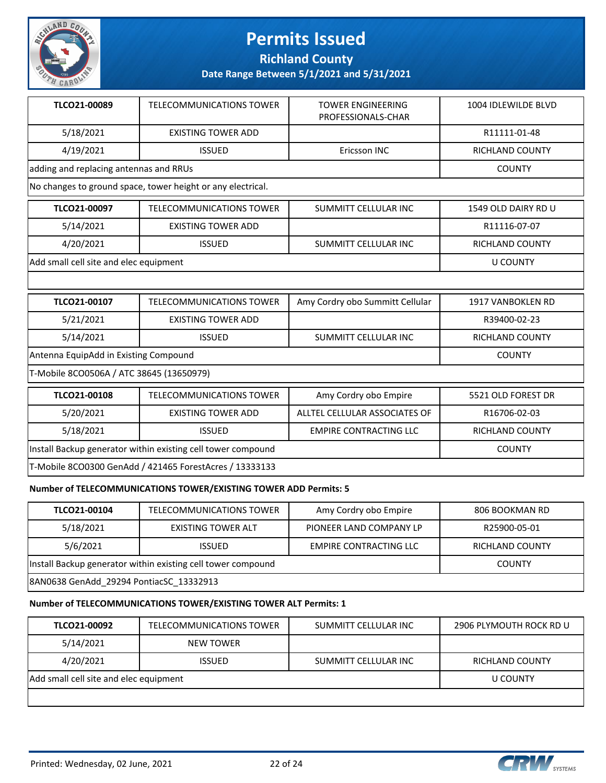

**Richland County**

**Date Range Between 5/1/2021 and 5/31/2021**

| TLCO21-00089                             | <b>TELECOMMUNICATIONS TOWER</b>                              | <b>TOWER ENGINEERING</b><br>PROFESSIONALS-CHAR | 1004 IDLEWILDE BLVD    |
|------------------------------------------|--------------------------------------------------------------|------------------------------------------------|------------------------|
| 5/18/2021                                | <b>EXISTING TOWER ADD</b>                                    |                                                | R11111-01-48           |
| 4/19/2021                                | <b>ISSUED</b>                                                | Ericsson INC                                   | <b>RICHLAND COUNTY</b> |
| adding and replacing antennas and RRUs   |                                                              |                                                | <b>COUNTY</b>          |
|                                          | No changes to ground space, tower height or any electrical.  |                                                |                        |
| TLCO21-00097                             | <b>TELECOMMUNICATIONS TOWER</b>                              | SUMMITT CELLULAR INC                           | 1549 OLD DAIRY RD U    |
| 5/14/2021                                | <b>EXISTING TOWER ADD</b>                                    |                                                | R11116-07-07           |
| 4/20/2021                                | <b>ISSUED</b>                                                | SUMMITT CELLULAR INC                           | <b>RICHLAND COUNTY</b> |
| Add small cell site and elec equipment   |                                                              |                                                | <b>U COUNTY</b>        |
|                                          |                                                              |                                                |                        |
| TLCO21-00107                             | <b>TELECOMMUNICATIONS TOWER</b>                              | Amy Cordry obo Summitt Cellular                | 1917 VANBOKLEN RD      |
| 5/21/2021                                | <b>EXISTING TOWER ADD</b>                                    |                                                | R39400-02-23           |
| 5/14/2021                                | <b>ISSUED</b>                                                | <b>SUMMITT CELLULAR INC</b>                    | <b>RICHLAND COUNTY</b> |
| Antenna EquipAdd in Existing Compound    | <b>COUNTY</b>                                                |                                                |                        |
| T-Mobile 8CO0506A / ATC 38645 (13650979) |                                                              |                                                |                        |
| TLCO21-00108                             | <b>TELECOMMUNICATIONS TOWER</b>                              | Amy Cordry obo Empire                          | 5521 OLD FOREST DR     |
| 5/20/2021                                | <b>EXISTING TOWER ADD</b>                                    | ALLTEL CELLULAR ASSOCIATES OF                  | R16706-02-03           |
| 5/18/2021                                | <b>ISSUED</b>                                                | <b>EMPIRE CONTRACTING LLC</b>                  | <b>RICHLAND COUNTY</b> |
|                                          | Install Backup generator within existing cell tower compound |                                                | <b>COUNTY</b>          |
|                                          | T-Mobile 8CO0300 GenAdd / 421465 ForestAcres / 13333133      |                                                |                        |

#### **Number of TELECOMMUNICATIONS TOWER/EXISTING TOWER ADD Permits: 5**

| TLCO21-00104                                                 | TELECOMMUNICATIONS TOWER | Amy Cordry obo Empire   | 806 BOOKMAN RD  |
|--------------------------------------------------------------|--------------------------|-------------------------|-----------------|
| 5/18/2021                                                    | EXISTING TOWER ALT       | PIONEER LAND COMPANY LP | R25900-05-01    |
| 5/6/2021                                                     | <b>ISSUED</b>            | EMPIRE CONTRACTING LLC  | RICHLAND COUNTY |
| Install Backup generator within existing cell tower compound |                          |                         | <b>COUNTY</b>   |
| 8AN0638 GenAdd 29294 PontiacSC 13332913                      |                          |                         |                 |

#### **Number of TELECOMMUNICATIONS TOWER/EXISTING TOWER ALT Permits: 1**

| TLCO21-00092                           | TELECOMMUNICATIONS TOWER | SUMMITT CELLULAR INC | 2906 PLYMOUTH ROCK RD U |
|----------------------------------------|--------------------------|----------------------|-------------------------|
| 5/14/2021                              | <b>NEW TOWER</b>         |                      |                         |
| 4/20/2021                              | <b>ISSUED</b>            | SUMMITT CELLULAR INC | <b>RICHLAND COUNTY</b>  |
| Add small cell site and elec equipment |                          |                      | U COUNTY                |
|                                        |                          |                      |                         |

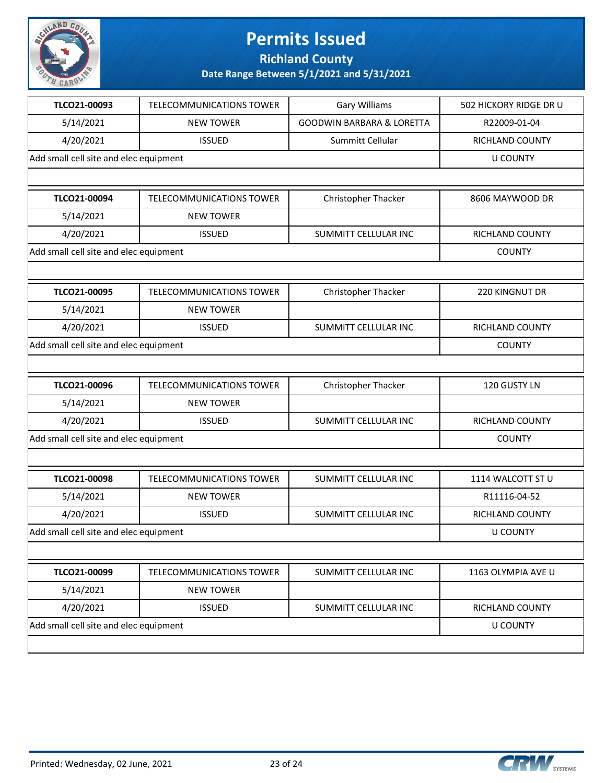

**Richland County**

| TLCO21-00093                           | TELECOMMUNICATIONS TOWER |                                      | 502 HICKORY RIDGE DR U |
|----------------------------------------|--------------------------|--------------------------------------|------------------------|
|                                        |                          | Gary Williams                        |                        |
| 5/14/2021                              | <b>NEW TOWER</b>         | <b>GOODWIN BARBARA &amp; LORETTA</b> | R22009-01-04           |
| 4/20/2021                              | <b>ISSUED</b>            | Summitt Cellular                     | RICHLAND COUNTY        |
| Add small cell site and elec equipment |                          |                                      | <b>U COUNTY</b>        |
|                                        |                          |                                      |                        |
| TLCO21-00094                           | TELECOMMUNICATIONS TOWER | Christopher Thacker                  | 8606 MAYWOOD DR        |
| 5/14/2021                              | <b>NEW TOWER</b>         |                                      |                        |
| 4/20/2021                              | <b>ISSUED</b>            | SUMMITT CELLULAR INC                 | <b>RICHLAND COUNTY</b> |
| Add small cell site and elec equipment |                          |                                      | <b>COUNTY</b>          |
|                                        |                          |                                      |                        |
| TLCO21-00095                           | TELECOMMUNICATIONS TOWER | Christopher Thacker                  | 220 KINGNUT DR         |
| 5/14/2021                              | <b>NEW TOWER</b>         |                                      |                        |
| 4/20/2021                              | <b>ISSUED</b>            | SUMMITT CELLULAR INC                 | <b>RICHLAND COUNTY</b> |
| Add small cell site and elec equipment |                          |                                      | <b>COUNTY</b>          |
|                                        |                          |                                      |                        |
| TLCO21-00096                           | TELECOMMUNICATIONS TOWER | Christopher Thacker                  | 120 GUSTY LN           |
| 5/14/2021                              | <b>NEW TOWER</b>         |                                      |                        |
| 4/20/2021                              | <b>ISSUED</b>            | SUMMITT CELLULAR INC                 | RICHLAND COUNTY        |
| Add small cell site and elec equipment | <b>COUNTY</b>            |                                      |                        |
|                                        |                          |                                      |                        |
| TLCO21-00098                           | TELECOMMUNICATIONS TOWER | SUMMITT CELLULAR INC                 | 1114 WALCOTT ST U      |
| 5/14/2021                              | <b>NEW TOWER</b>         |                                      | R11116-04-52           |
| 4/20/2021                              | <b>ISSUED</b>            | SUMMITT CELLULAR INC                 | RICHLAND COUNTY        |
| Add small cell site and elec equipment |                          |                                      | U COUNTY               |
|                                        |                          |                                      |                        |
| TLCO21-00099                           | TELECOMMUNICATIONS TOWER | SUMMITT CELLULAR INC                 | 1163 OLYMPIA AVE U     |
| 5/14/2021                              | <b>NEW TOWER</b>         |                                      |                        |
| 4/20/2021                              | <b>ISSUED</b>            | SUMMITT CELLULAR INC                 | RICHLAND COUNTY        |
| Add small cell site and elec equipment |                          |                                      | <b>U COUNTY</b>        |
|                                        |                          |                                      |                        |